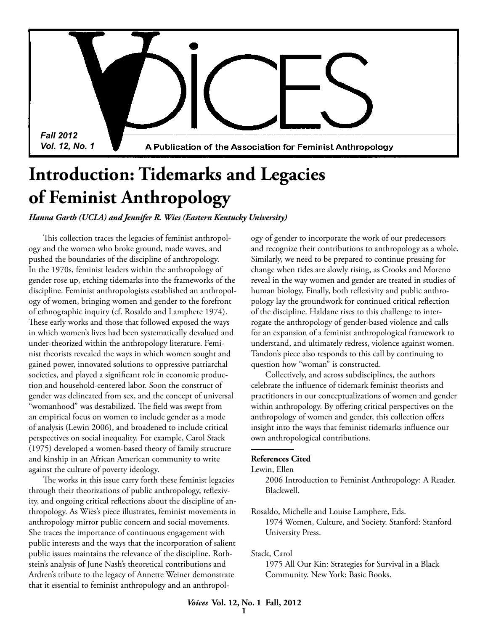*Fall 2012 Vol. 12, No. 1*

A Publication of the Association for Feminist Anthropology

# **Introduction: Tidemarks and Legacies of Feminist Anthropology**

*Hanna Garth (UCLA) and Jennifer R. Wies (Eastern Kentucky University)*

This collection traces the legacies of feminist anthropology and the women who broke ground, made waves, and pushed the boundaries of the discipline of anthropology. In the 1970s, feminist leaders within the anthropology of gender rose up, etching tidemarks into the frameworks of the discipline. Feminist anthropologists established an anthropology of women, bringing women and gender to the forefront of ethnographic inquiry (cf. Rosaldo and Lamphere 1974). These early works and those that followed exposed the ways in which women's lives had been systematically devalued and under-theorized within the anthropology literature. Feminist theorists revealed the ways in which women sought and gained power, innovated solutions to oppressive patriarchal societies, and played a significant role in economic production and household-centered labor. Soon the construct of gender was delineated from sex, and the concept of universal "womanhood" was destabilized. The field was swept from an empirical focus on women to include gender as a mode of analysis (Lewin 2006), and broadened to include critical perspectives on social inequality. For example, Carol Stack (1975) developed a women-based theory of family structure and kinship in an African American community to write against the culture of poverty ideology.

The works in this issue carry forth these feminist legacies through their theorizations of public anthropology, reflexivity, and ongoing critical reflections about the discipline of anthropology. As Wies's piece illustrates, feminist movements in anthropology mirror public concern and social movements. She traces the importance of continuous engagement with public interests and the ways that the incorporation of salient public issues maintains the relevance of the discipline. Rothstein's analysis of June Nash's theoretical contributions and Ardren's tribute to the legacy of Annette Weiner demonstrate that it essential to feminist anthropology and an anthropology of gender to incorporate the work of our predecessors and recognize their contributions to anthropology as a whole. Similarly, we need to be prepared to continue pressing for change when tides are slowly rising, as Crooks and Moreno reveal in the way women and gender are treated in studies of human biology. Finally, both reflexivity and public anthropology lay the groundwork for continued critical reflection of the discipline. Haldane rises to this challenge to interrogate the anthropology of gender-based violence and calls for an expansion of a feminist anthropological framework to understand, and ultimately redress, violence against women. Tandon's piece also responds to this call by continuing to question how "woman" is constructed.

Collectively, and across subdisciplines, the authors celebrate the influence of tidemark feminist theorists and practitioners in our conceptualizations of women and gender within anthropology. By offering critical perspectives on the anthropology of women and gender, this collection offers insight into the ways that feminist tidemarks influence our own anthropological contributions.

### **References Cited**

Lewin, Ellen

2006 Introduction to Feminist Anthropology: A Reader. Blackwell.

Rosaldo, Michelle and Louise Lamphere, Eds. 1974 Women, Culture, and Society. Stanford: Stanford University Press.

Stack, Carol

1975 All Our Kin: Strategies for Survival in a Black Community. New York: Basic Books.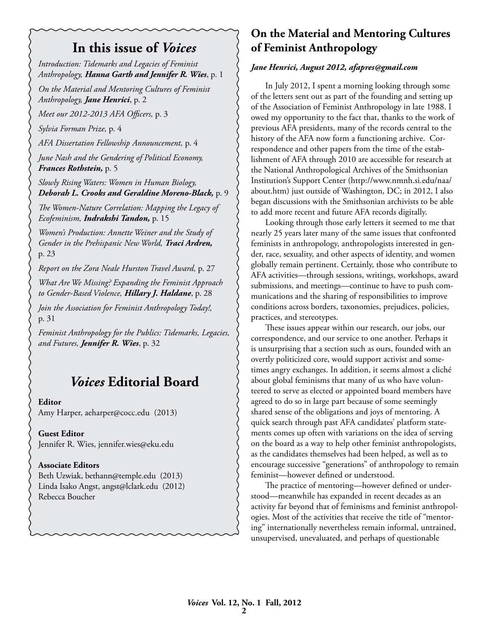## **In this issue of** *Voices*

*Introduction: Tidemarks and Legacies of Feminist Anthropology, Hanna Garth and Jennifer R. Wies*, p. 1

*On the Material and Mentoring Cultures of Feminist Anthropology, Jane Henrici*, p. 2

*Meet our 2012-2013 AFA Officers,* p. 3

*Sylvia Forman Prize,* p. 4

*AFA Dissertation Fellowship Announcement,* p. 4

*June Nash and the Gendering of Political Economy, Frances Rothstein,* p. 5

*Slowly Rising Waters: Women in Human Biology, Deborah L. Crooks and Geraldine Moreno-Black,* p. 9

*The Women-Nature Correlation: Mapping the Legacy of Ecofeminism, Indrakshi Tandon,* p. 15

*Women's Production: Annette Weiner and the Study of Gender in the Prehispanic New World, Traci Ardren,* p. 23

*Report on the Zora Neale Hurston Travel Award,* p. 27

*What Are We Missing? Expanding the Feminist Approach to Gender-Based Violence, Hillary J. Haldane*, p. 28

*Join the Association for Feminist Anthropology Today!,*  p. 31

*Feminist Anthropology for the Publics: Tidemarks, Legacies, and Futures, Jennifer R. Wies*, p. 32

## *Voices* **Editorial Board**

#### **Editor**

Amy Harper, aeharper@cocc.edu (2013)

**Guest Editor** Jennifer R. Wies, jennifer.wies@eku.edu

#### **Associate Editors**

Beth Uzwiak, bethann@temple.edu (2013) Linda Isako Angst, angst@lclark.edu (2012) Rebecca Boucher

### **On the Material and Mentoring Cultures of Feminist Anthropology**

#### *Jane Henrici, August 2012, afapres@gmail.com*

In July 2012, I spent a morning looking through some of the letters sent out as part of the founding and setting up of the Association of Feminist Anthropology in late 1988. I owed my opportunity to the fact that, thanks to the work of previous AFA presidents, many of the records central to the history of the AFA now form a functioning archive. Correspondence and other papers from the time of the establishment of AFA through 2010 are accessible for research at the National Anthropological Archives of the Smithsonian Institution's Support Center (http://www.nmnh.si.edu/naa/ about.htm) just outside of Washington, DC; in 2012, I also began discussions with the Smithsonian archivists to be able to add more recent and future AFA records digitally.

Looking through those early letters it seemed to me that nearly 25 years later many of the same issues that confronted feminists in anthropology, anthropologists interested in gender, race, sexuality, and other aspects of identity, and women globally remain pertinent. Certainly, those who contribute to AFA activities—through sessions, writings, workshops, award submissions, and meetings—continue to have to push communications and the sharing of responsibilities to improve conditions across borders, taxonomies, prejudices, policies, practices, and stereotypes.

These issues appear within our research, our jobs, our correspondence, and our service to one another. Perhaps it is unsurprising that a section such as ours, founded with an overtly politicized core, would support activist and sometimes angry exchanges. In addition, it seems almost a cliché about global feminisms that many of us who have volunteered to serve as elected or appointed board members have agreed to do so in large part because of some seemingly shared sense of the obligations and joys of mentoring. A quick search through past AFA candidates' platform statements comes up often with variations on the idea of serving on the board as a way to help other feminist anthropologists, as the candidates themselves had been helped, as well as to encourage successive "generations" of anthropology to remain feminist—however defined or understood.

The practice of mentoring—however defined or understood—meanwhile has expanded in recent decades as an activity far beyond that of feminisms and feminist anthropologies. Most of the activities that receive the title of "mentoring" internationally nevertheless remain informal, untrained, unsupervised, unevaluated, and perhaps of questionable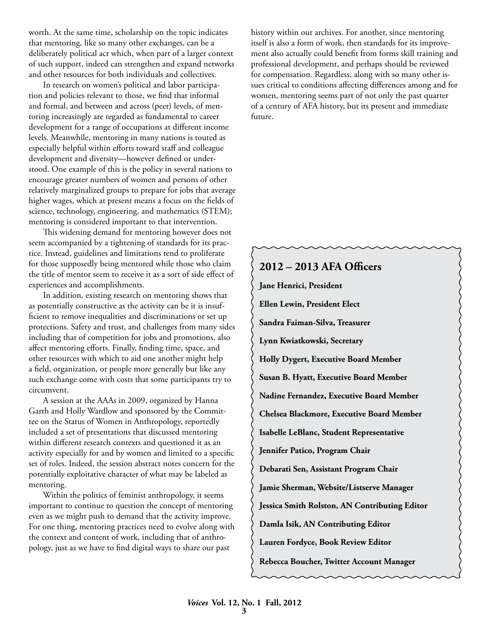worth. At the same time, scholarship on the topic indicates that mentoring, like so many other exchanges, can be a deliberately political act which, when part of a larger context of such support, indeed can strengthen and expand networks and other resources for both individuals and collectives.

In research on women's political and labor participation and policies relevant to those, we find that informal and formal, and between and across (peer) levels, of mentoring increasingly are regarded as fundamental to career development for a range of occupations at different income levels. Meanwhile, mentoring in many nations is touted as especially helpful within efforts toward staff and colleague development and diversity—however defined or understood. One example of this is the policy in several nations to encourage greater numbers of women and persons of other relatively marginalized groups to prepare for jobs that average higher wages, which at present means a focus on the fields of science, technology, engineering, and mathematics (STEM); mentoring is considered important to that intervention.

This widening demand for mentoring however does not seem accompanied by a tightening of standards for its practice. Instead, guidelines and limitations tend to proliferate for those supposedly being mentored while those who claim the title of mentor seem to receive it as a sort of side effect of experiences and accomplishments.

In addition, existing research on mentoring shows that as potentially constructive as the activity can be it is insufficient to remove inequalities and discriminations or set up protections. Safety and trust, and challenges from many sides including that of competition for jobs and promotions, also affect mentoring efforts. Finally, finding time, space, and other resources with which to aid one another might help a field, organization, or people more generally but like any such exchange come with costs that some participants try to circumvent.

A session at the AAAs in 2009, organized by Hanna Garth and Holly Wardlow and sponsored by the Committee on the Status of Women in Anthropology, reportedly included a set of presentations that discussed mentoring within different research contexts and questioned it as an activity especially for and by women and limited to a specific set of roles. Indeed, the session abstract notes concern for the potentially exploitative character of what may be labeled as mentoring.

Within the politics of feminist anthropology, it seems important to continue to question the concept of mentoring even as we might push to demand that the activity improve. For one thing, mentoring practices need to evolve along with the context and content of work, including that of anthropology, just as we have to find digital ways to share our past

history within our archives. For another, since mentoring itself is also a form of work, then standards for its improvement also actually could benefit from forms skill training and professional development, and perhaps should be reviewed for compensation. Regardless, along with so many other issues critical to conditions affecting differences among and for women, mentoring seems part of not only the past quarter of a century of AFA history, but its present and immediate future.

### **2012 – 2013 AFA Officers**

**Jane Henrici, President Ellen Lewin, President Elect Sandra Faiman-Silva, Treasurer Lynn Kwiatkowski, Secretary Holly Dygert, Executive Board Member Susan B. Hyatt, Executive Board Member Nadine Fernandez, Executive Board Member Chelsea Blackmore, Executive Board Member Isabelle LeBlanc, Student Representative Jennifer Patico, Program Chair Debarati Sen, Assistant Program Chair Jamie Sherman, Website/Listserve Manager Jessica Smith Rolston, AN Contributing Editor Damla Isik, AN Contributing Editor Lauren Fordyce, Book Review Editor Rebecca Boucher, Twitter Account Manager**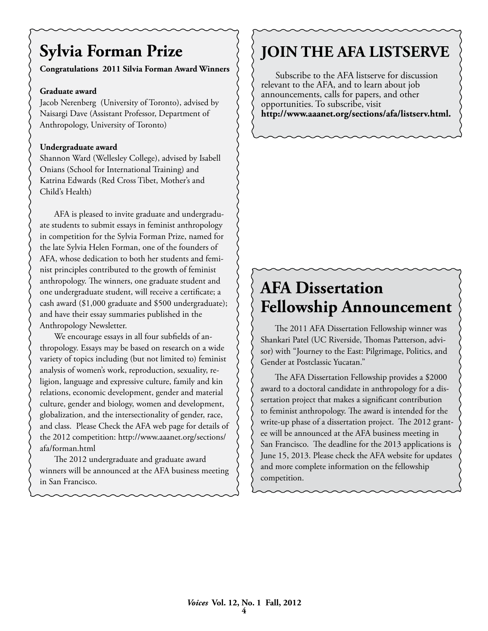# **Sylvia Forman Prize**

### **Congratulations 2011 Silvia Forman Award Winners**

### **Graduate award**

Jacob Nerenberg (University of Toronto), advised by Naisargi Dave (Assistant Professor, Department of Anthropology, University of Toronto)

### **Undergraduate award**

Shannon Ward (Wellesley College), advised by Isabell Onians (School for International Training) and Katrina Edwards (Red Cross Tibet, Mother's and Child's Health)

AFA is pleased to invite graduate and undergraduate students to submit essays in feminist anthropology in competition for the Sylvia Forman Prize, named for the late Sylvia Helen Forman, one of the founders of AFA, whose dedication to both her students and feminist principles contributed to the growth of feminist anthropology. The winners, one graduate student and one undergraduate student, will receive a certificate; a cash award (\$1,000 graduate and \$500 undergraduate); and have their essay summaries published in the Anthropology Newsletter.

We encourage essays in all four subfields of anthropology. Essays may be based on research on a wide variety of topics including (but not limited to) feminist analysis of women's work, reproduction, sexuality, religion, language and expressive culture, family and kin relations, economic development, gender and material culture, gender and biology, women and development, globalization, and the intersectionality of gender, race, and class. Please Check the AFA web page for details of the 2012 competition: http://www.aaanet.org/sections/ afa/forman.html

The 2012 undergraduate and graduate award winners will be announced at the AFA business meeting in San Francisco.

## **JOIN THE AFA LISTSERVE**

Subscribe to the AFA listserve for discussion relevant to the AFA, and to learn about job announcements, calls for papers, and other opportunities. To subscribe, visit **http://www.aaanet.org/sections/afa/listserv.html.**

## **AFA Dissertation Fellowship Announcement**

The 2011 AFA Dissertation Fellowship winner was Shankari Patel (UC Riverside, Thomas Patterson, advisor) with "Journey to the East: Pilgrimage, Politics, and Gender at Postclassic Yucatan."

The AFA Dissertation Fellowship provides a \$2000 award to a doctoral candidate in anthropology for a dissertation project that makes a significant contribution to feminist anthropology. The award is intended for the write-up phase of a dissertation project. The 2012 grantee will be announced at the AFA business meeting in San Francisco. The deadline for the 2013 applications is June 15, 2013. Please check the AFA website for updates and more complete information on the fellowship competition.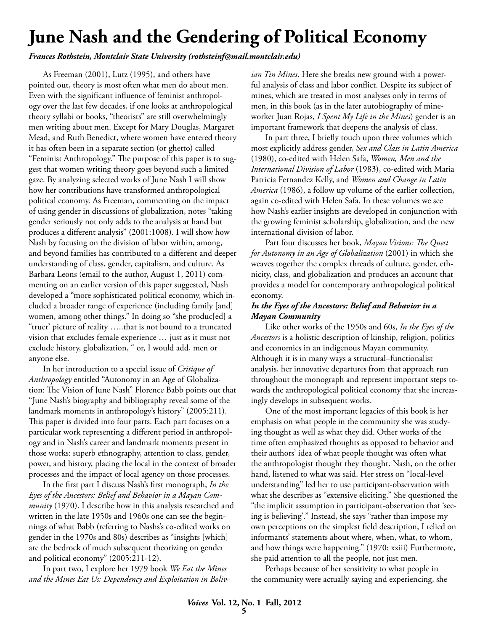# **June Nash and the Gendering of Political Economy**

*Frances Rothstein, Montclair State University (rothsteinf@mail.montclair.edu)*

As Freeman (2001), Lutz (1995), and others have pointed out, theory is most often what men do about men. Even with the significant influence of feminist anthropology over the last few decades, if one looks at anthropological theory syllabi or books, "theorists" are still overwhelmingly men writing about men. Except for Mary Douglas, Margaret Mead, and Ruth Benedict, where women have entered theory it has often been in a separate section (or ghetto) called "Feminist Anthropology." The purpose of this paper is to suggest that women writing theory goes beyond such a limited gaze. By analyzing selected works of June Nash I will show how her contributions have transformed anthropological political economy. As Freeman, commenting on the impact of using gender in discussions of globalization, notes "taking gender seriously not only adds to the analysis at hand but produces a different analysis" (2001:1008). I will show how Nash by focusing on the division of labor within, among, and beyond families has contributed to a different and deeper understanding of class, gender, capitalism, and culture. As Barbara Leons (email to the author, August 1, 2011) commenting on an earlier version of this paper suggested, Nash developed a "more sophisticated political economy, which included a broader range of experience (including family [and] women, among other things." In doing so "she produc[ed] a "truer' picture of reality …..that is not bound to a truncated vision that excludes female experience … just as it must not exclude history, globalization, " or, I would add, men or anyone else.

In her introduction to a special issue of *Critique of Anthropology* entitled "Autonomy in an Age of Globalization: The Vision of June Nash" Florence Babb points out that "June Nash's biography and bibliography reveal some of the landmark moments in anthropology's history" (2005:211). This paper is divided into four parts. Each part focuses on a particular work representing a different period in anthropology and in Nash's career and landmark moments present in those works: superb ethnography, attention to class, gender, power, and history, placing the local in the context of broader processes and the impact of local agency on those processes.

In the first part I discuss Nash's first monograph, *In the Eyes of the Ancestors: Belief and Behavior in a Mayan Community* (1970). I describe how in this analysis researched and written in the late 1950s and 1960s one can see the beginnings of what Babb (referring to Nashs's co-edited works on gender in the 1970s and 80s) describes as "insights [which] are the bedrock of much subsequent theorizing on gender and political economy" (2005:211-12).

In part two, I explore her 1979 book *We Eat the Mines and the Mines Eat Us: Dependency and Exploitation in Boliv-* *ian Tin Mines*. Here she breaks new ground with a powerful analysis of class and labor conflict. Despite its subject of mines, which are treated in most analyses only in terms of men, in this book (as in the later autobiography of mineworker Juan Rojas, *I Spent My Life in the Mines*) gender is an important framework that deepens the analysis of class.

In part three, I briefly touch upon three volumes which most explicitly address gender, *Sex and Class in Latin America* (1980), co-edited with Helen Safa, *Women, Men and the International Division of Labor* (1983), co-edited with Maria Patricia Fernandez Kelly, and *Women and Change in Latin America* (1986), a follow up volume of the earlier collection, again co-edited with Helen Safa. In these volumes we see how Nash's earlier insights are developed in conjunction with the growing feminist scholarship, globalization, and the new international division of labor.

Part four discusses her book, *Mayan Visions: The Quest for Autonomy in an Age of Globalization* (2001) in which she weaves together the complex threads of culture, gender, ethnicity, class, and globalization and produces an account that provides a model for contemporary anthropological political economy.

### *In the Eyes of the Ancestors: Belief and Behavior in a Mayan Community*

Like other works of the 1950s and 60s, *In the Eyes of the Ancestors* is a holistic description of kinship, religion, politics and economics in an indigenous Mayan community. Although it is in many ways a structural–functionalist analysis, her innovative departures from that approach run throughout the monograph and represent important steps towards the anthropological political economy that she increasingly develops in subsequent works.

One of the most important legacies of this book is her emphasis on what people in the community she was studying thought as well as what they did. Other works of the time often emphasized thoughts as opposed to behavior and their authors' idea of what people thought was often what the anthropologist thought they thought. Nash, on the other hand, listened to what was said. Her stress on "local-level understanding" led her to use participant-observation with what she describes as "extensive eliciting." She questioned the "the implicit assumption in participant-observation that 'seeing is believing'." Instead, she says "rather than impose my own perceptions on the simplest field description, I relied on informants' statements about where, when, what, to whom, and how things were happening." (1970: xxiii) Furthermore, she paid attention to all the people, not just men.

Perhaps because of her sensitivity to what people in the community were actually saying and experiencing, she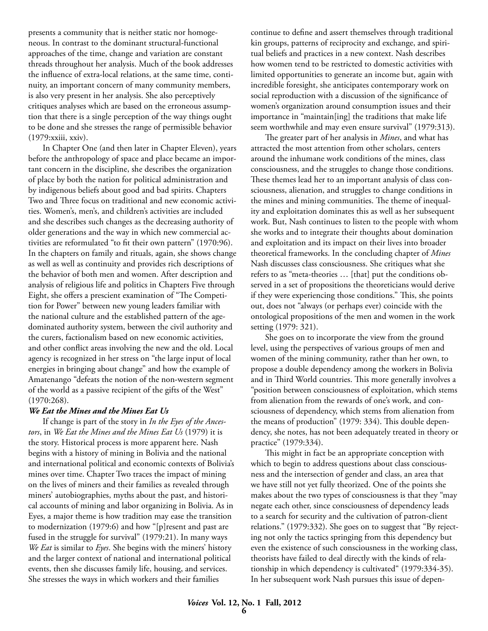presents a community that is neither static nor homogeneous. In contrast to the dominant structural-functional approaches of the time, change and variation are constant threads throughout her analysis. Much of the book addresses the influence of extra-local relations, at the same time, continuity, an important concern of many community members, is also very present in her analysis. She also perceptively critiques analyses which are based on the erroneous assumption that there is a single perception of the way things ought to be done and she stresses the range of permissible behavior (1979:xxiii, xxiv).

In Chapter One (and then later in Chapter Eleven), years before the anthropology of space and place became an important concern in the discipline, she describes the organization of place by both the nation for political administration and by indigenous beliefs about good and bad spirits. Chapters Two and Three focus on traditional and new economic activities. Women's, men's, and children's activities are included and she describes such changes as the decreasing authority of older generations and the way in which new commercial activities are reformulated "to fit their own pattern" (1970:96). In the chapters on family and rituals, again, she shows change as well as well as continuity and provides rich descriptions of the behavior of both men and women. After description and analysis of religious life and politics in Chapters Five through Eight, she offers a prescient examination of "The Competition for Power" between new young leaders familiar with the national culture and the established pattern of the agedominated authority system, between the civil authority and the curers, factionalism based on new economic activities, and other conflict areas involving the new and the old. Local agency is recognized in her stress on "the large input of local energies in bringing about change" and how the example of Amatenango "defeats the notion of the non-western segment of the world as a passive recipient of the gifts of the West" (1970:268).

#### *We Eat the Mines and the Mines Eat Us*

If change is part of the story in *In the Eyes of the Ancestors*, in *We Eat the Mines and the Mines Eat Us* (1979) it is the story. Historical process is more apparent here. Nash begins with a history of mining in Bolivia and the national and international political and economic contexts of Bolivia's mines over time. Chapter Two traces the impact of mining on the lives of miners and their families as revealed through miners' autobiographies, myths about the past, and historical accounts of mining and labor organizing in Bolivia. As in Eyes, a major theme is how tradition may ease the transition to modernization (1979:6) and how "[p]resent and past are fused in the struggle for survival" (1979:21). In many ways *We Eat* is similar to *Eyes*. She begins with the miners' history and the larger context of national and international political events, then she discusses family life, housing, and services. She stresses the ways in which workers and their families

continue to define and assert themselves through traditional kin groups, patterns of reciprocity and exchange, and spiritual beliefs and practices in a new context. Nash describes how women tend to be restricted to domestic activities with limited opportunities to generate an income but, again with incredible foresight, she anticipates contemporary work on social reproduction with a discussion of the significance of women's organization around consumption issues and their importance in "maintain[ing] the traditions that make life seem worthwhile and may even ensure survival" (1979:313).

The greater part of her analysis in *Mines*, and what has attracted the most attention from other scholars, centers around the inhumane work conditions of the mines, class consciousness, and the struggles to change those conditions. These themes lead her to an important analysis of class consciousness, alienation, and struggles to change conditions in the mines and mining communities. The theme of inequality and exploitation dominates this as well as her subsequent work. But, Nash continues to listen to the people with whom she works and to integrate their thoughts about domination and exploitation and its impact on their lives into broader theoretical frameworks. In the concluding chapter of *Mines* Nash discusses class consciousness. She critiques what she refers to as "meta-theories … [that] put the conditions observed in a set of propositions the theoreticians would derive if they were experiencing those conditions." This, she points out, does not "always (or perhaps ever) coincide with the ontological propositions of the men and women in the work setting (1979: 321).

She goes on to incorporate the view from the ground level, using the perspectives of various groups of men and women of the mining community, rather than her own, to propose a double dependency among the workers in Bolivia and in Third World countries. This more generally involves a "position between consciousness of exploitation, which stems from alienation from the rewards of one's work, and consciousness of dependency, which stems from alienation from the means of production" (1979: 334). This double dependency, she notes, has not been adequately treated in theory or practice" (1979:334).

This might in fact be an appropriate conception with which to begin to address questions about class consciousness and the intersection of gender and class, an area that we have still not yet fully theorized. One of the points she makes about the two types of consciousness is that they "may negate each other, since consciousness of dependency leads to a search for security and the cultivation of patron-client relations." (1979:332). She goes on to suggest that "By rejecting not only the tactics springing from this dependency but even the existence of such consciousness in the working class, theorists have failed to deal directly with the kinds of relationship in which dependency is cultivated" (1979:334-35). In her subsequent work Nash pursues this issue of depen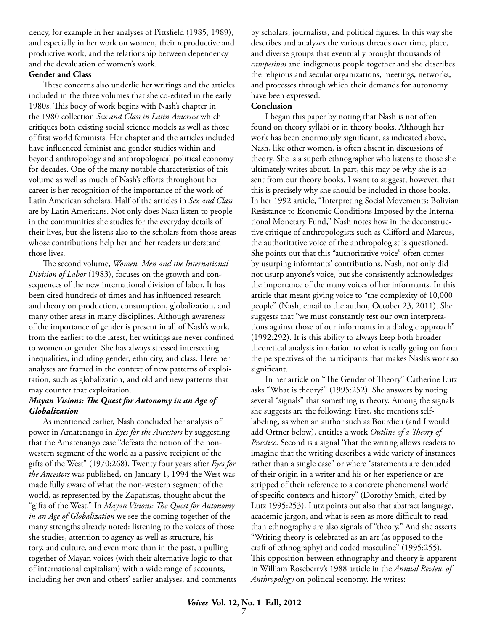dency, for example in her analyses of Pittsfield (1985, 1989), and especially in her work on women, their reproductive and productive work, and the relationship between dependency and the devaluation of women's work.

#### **Gender and Class**

These concerns also underlie her writings and the articles included in the three volumes that she co-edited in the early 1980s. This body of work begins with Nash's chapter in the 1980 collection *Sex and Class in Latin America* which critiques both existing social science models as well as those of first world feminists. Her chapter and the articles included have influenced feminist and gender studies within and beyond anthropology and anthropological political economy for decades. One of the many notable characteristics of this volume as well as much of Nash's efforts throughout her career is her recognition of the importance of the work of Latin American scholars. Half of the articles in *Sex and Class* are by Latin Americans. Not only does Nash listen to people in the communities she studies for the everyday details of their lives, but she listens also to the scholars from those areas whose contributions help her and her readers understand those lives.

The second volume, *Women, Men and the International Division of Labor* (1983), focuses on the growth and consequences of the new international division of labor. It has been cited hundreds of times and has influenced research and theory on production, consumption, globalization, and many other areas in many disciplines. Although awareness of the importance of gender is present in all of Nash's work, from the earliest to the latest, her writings are never confined to women or gender. She has always stressed intersecting inequalities, including gender, ethnicity, and class. Here her analyses are framed in the context of new patterns of exploitation, such as globalization, and old and new patterns that may counter that exploitation.

### *Mayan Visions: The Quest for Autonomy in an Age of Globalization*

As mentioned earlier, Nash concluded her analysis of power in Amatenango in *Eyes for the Ancestors* by suggesting that the Amatenango case "defeats the notion of the nonwestern segment of the world as a passive recipient of the gifts of the West" (1970:268). Twenty four years after *Eyes for the Ancestors* was published, on January 1, 1994 the West was made fully aware of what the non-western segment of the world, as represented by the Zapatistas, thought about the "gifts of the West." In *Mayan Visions: The Quest for Autonomy in an Age of Globalization* we see the coming together of the many strengths already noted: listening to the voices of those she studies, attention to agency as well as structure, history, and culture, and even more than in the past, a pulling together of Mayan voices (with their alternative logic to that of international capitalism) with a wide range of accounts, including her own and others' earlier analyses, and comments by scholars, journalists, and political figures. In this way she describes and analyzes the various threads over time, place, and diverse groups that eventually brought thousands of *campesinos* and indigenous people together and she describes the religious and secular organizations, meetings, networks, and processes through which their demands for autonomy have been expressed.

#### **Conclusion**

I began this paper by noting that Nash is not often found on theory syllabi or in theory books. Although her work has been enormously significant, as indicated above, Nash, like other women, is often absent in discussions of theory. She is a superb ethnographer who listens to those she ultimately writes about. In part, this may be why she is absent from our theory books. I want to suggest, however, that this is precisely why she should be included in those books. In her 1992 article, "Interpreting Social Movements: Bolivian Resistance to Economic Conditions Imposed by the International Monetary Fund," Nash notes how in the deconstructive critique of anthropologists such as Clifford and Marcus, the authoritative voice of the anthropologist is questioned. She points out that this "authoritative voice" often comes by usurping informants' contributions. Nash, not only did not usurp anyone's voice, but she consistently acknowledges the importance of the many voices of her informants. In this article that meant giving voice to "the complexity of 10,000 people" (Nash, email to the author, October 23, 2011). She suggests that "we must constantly test our own interpretations against those of our informants in a dialogic approach" (1992:292). It is this ability to always keep both broader theoretical analysis in relation to what is really going on from the perspectives of the participants that makes Nash's work so significant.

In her article on "The Gender of Theory" Catherine Lutz asks "What is theory?" (1995:252). She answers by noting several "signals" that something is theory. Among the signals she suggests are the following: First, she mentions selflabeling, as when an author such as Bourdieu (and I would add Ortner below), entitles a work *Outline of a Theory of Practice*. Second is a signal "that the writing allows readers to imagine that the writing describes a wide variety of instances rather than a single case" or where "statements are denuded of their origin in a writer and his or her experience or are stripped of their reference to a concrete phenomenal world of specific contexts and history" (Dorothy Smith, cited by Lutz 1995:253). Lutz points out also that abstract language, academic jargon, and what is seen as more difficult to read than ethnography are also signals of "theory." And she asserts "Writing theory is celebrated as an art (as opposed to the craft of ethnography) and coded masculine" (1995:255). This opposition between ethnography and theory is apparent in William Roseberry's 1988 article in the *Annual Review of Anthropology* on political economy. He writes: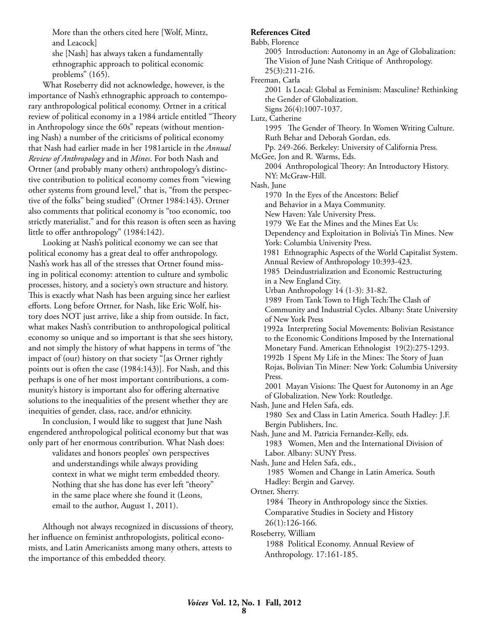More than the others cited here [Wolf, Mintz, and Leacock]

she [Nash] has always taken a fundamentally ethnographic approach to political economic problems" (165).

What Roseberry did not acknowledge, however, is the importance of Nash's ethnographic approach to contemporary anthropological political economy. Ortner in a critical review of political economy in a 1984 article entitled "Theory in Anthropology since the 60s" repeats (without mentioning Nash) a number of the criticisms of political economy that Nash had earlier made in her 1981article in the *Annual Review of Anthropology* and in *Mines*. For both Nash and Ortner (and probably many others) anthropology's distinctive contribution to political economy comes from "viewing other systems from ground level," that is, "from the perspective of the folks" being studied" (Ortner 1984:143). Ortner also comments that political economy is "too economic, too strictly materialist." and for this reason is often seen as having little to offer anthropology" (1984:142).

Looking at Nash's political economy we can see that political economy has a great deal to offer anthropology. Nash's work has all of the stresses that Ortner found missing in political economy: attention to culture and symbolic processes, history, and a society's own structure and history. This is exactly what Nash has been arguing since her earliest efforts. Long before Ortner, for Nash, like Eric Wolf, history does NOT just arrive, like a ship from outside. In fact, what makes Nash's contribution to anthropological political economy so unique and so important is that she sees history, and not simply the history of what happens in terms of "the impact of (our) history on that society "[as Ortner rightly points out is often the case (1984:143)]. For Nash, and this perhaps is one of her most important contributions, a community's history is important also for offering alternative solutions to the inequalities of the present whether they are inequities of gender, class, race, and/or ethnicity.

In conclusion, I would like to suggest that June Nash engendered anthropological political economy but that was only part of her enormous contribution. What Nash does:

> validates and honors peoples' own perspectives and understandings while always providing context in what we might term embedded theory. Nothing that she has done has ever left "theory" in the same place where she found it (Leons, email to the author, August 1, 2011).

Although not always recognized in discussions of theory, her influence on feminist anthropologists, political economists, and Latin Americanists among many others, attests to the importance of this embedded theory.

#### **References Cited**

Babb, Florence 2005 Introduction: Autonomy in an Age of Globalization: The Vision of June Nash Critique of Anthropology. 25(3):211-216. Freeman, Carla 2001 Is Local: Global as Feminism: Masculine? Rethinking the Gender of Globalization. Signs 26(4):1007-1037. Lutz, Catherine 1995 The Gender of Theory. In Women Writing Culture. Ruth Behar and Deborah Gordan, eds. Pp. 249-266. Berkeley: University of California Press. McGee, Jon and R. Warms, Eds. 2004 Anthropological Theory: An Introductory History. NY: McGraw-Hill. Nash, June 1970 In the Eyes of the Ancestors: Belief and Behavior in a Maya Community. New Haven: Yale University Press. 1979 We Eat the Mines and the Mines Eat Us: Dependency and Exploitation in Bolivia's Tin Mines. New York: Columbia University Press. 1981 Ethnographic Aspects of the World Capitalist System. Annual Review of Anthropology 10:393-423. 1985 Deindustrialization and Economic Restructuring in a New England City. Urban Anthropology 14 (1-3): 31-82. 1989 From Tank Town to High Tech:The Clash of Community and Industrial Cycles. Albany: State University of New York Press 1992a Interpreting Social Movements: Bolivian Resistance to the Economic Conditions Imposed by the International Monetary Fund. American Ethnologist 19(2):275-1293. 1992b I Spent My Life in the Mines: The Story of Juan Rojas, Bolivian Tin Miner: New York: Columbia University Press. 2001 Mayan Visions: The Quest for Autonomy in an Age of Globalization. New York: Routledge. Nash, June and Helen Safa, eds. 1980 Sex and Class in Latin America. South Hadley: J.F. Bergin Publishers, Inc. Nash, June and M. Patricia Fernandez-Kelly, eds. 1983 Women, Men and the International Division of Labor. Albany: SUNY Press. Nash, June and Helen Safa, eds., 1985 Women and Change in Latin America. South Hadley: Bergin and Garvey. Ortner, Sherry. 1984 Theory in Anthropology since the Sixties. Comparative Studies in Society and History 26(1):126-166. Roseberry, William 1988 Political Economy. Annual Review of Anthropology. 17:161-185.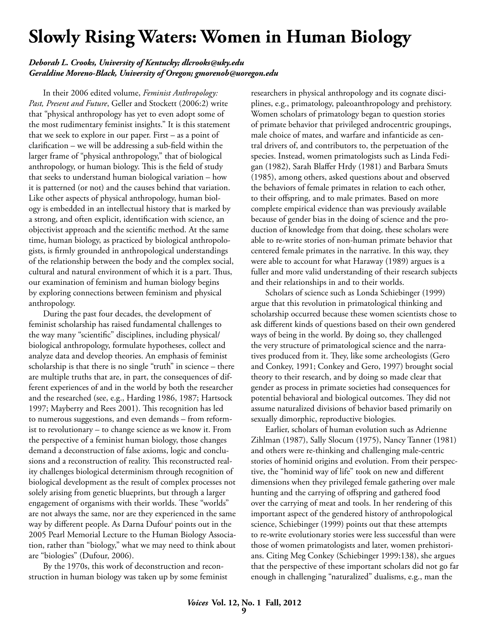# **Slowly Rising Waters: Women in Human Biology**

#### *Deborah L. Crooks, University of Kentucky; dlcrooks@uky.edu Geraldine Moreno-Black, University of Oregon; gmorenob@uoregon.edu*

In their 2006 edited volume, *Feminist Anthropology: Past, Present and Future*, Geller and Stockett (2006:2) write that "physical anthropology has yet to even adopt some of the most rudimentary feminist insights." It is this statement that we seek to explore in our paper. First – as a point of clarification – we will be addressing a sub-field within the larger frame of "physical anthropology," that of biological anthropology, or human biology. This is the field of study that seeks to understand human biological variation – how it is patterned (or not) and the causes behind that variation. Like other aspects of physical anthropology, human biology is embedded in an intellectual history that is marked by a strong, and often explicit, identification with science, an objectivist approach and the scientific method. At the same time, human biology, as practiced by biological anthropologists, is firmly grounded in anthropological understandings of the relationship between the body and the complex social, cultural and natural environment of which it is a part. Thus, our examination of feminism and human biology begins by exploring connections between feminism and physical anthropology.

During the past four decades, the development of feminist scholarship has raised fundamental challenges to the way many "scientific" disciplines, including physical/ biological anthropology, formulate hypotheses, collect and analyze data and develop theories. An emphasis of feminist scholarship is that there is no single "truth" in science – there are multiple truths that are, in part, the consequences of different experiences of and in the world by both the researcher and the researched (see, e.g., Harding 1986, 1987; Hartsock 1997; Mayberry and Rees 2001). This recognition has led to numerous suggestions, and even demands – from reformist to revolutionary – to change science as we know it. From the perspective of a feminist human biology, those changes demand a deconstruction of false axioms, logic and conclusions and a reconstruction of reality. This reconstructed reality challenges biological determinism through recognition of biological development as the result of complex processes not solely arising from genetic blueprints, but through a larger engagement of organisms with their worlds. These "worlds" are not always the same, nor are they experienced in the same way by different people. As Darna Dufouri points out in the 2005 Pearl Memorial Lecture to the Human Biology Association, rather than "biology," what we may need to think about are "biologies" (Dufour, 2006).

By the 1970s, this work of deconstruction and reconstruction in human biology was taken up by some feminist researchers in physical anthropology and its cognate disciplines, e.g., primatology, paleoanthropology and prehistory. Women scholars of primatology began to question stories of primate behavior that privileged androcentric groupings, male choice of mates, and warfare and infanticide as central drivers of, and contributors to, the perpetuation of the species. Instead, women primatologists such as Linda Fedigan (1982), Sarah Blaffer Hrdy (1981) and Barbara Smuts (1985), among others, asked questions about and observed the behaviors of female primates in relation to each other, to their offspring, and to male primates. Based on more complete empirical evidence than was previously available because of gender bias in the doing of science and the production of knowledge from that doing, these scholars were able to re-write stories of non-human primate behavior that centered female primates in the narrative. In this way, they were able to account for what Haraway (1989) argues is a fuller and more valid understanding of their research subjects and their relationships in and to their worlds.

Scholars of science such as Londa Schiebinger (1999) argue that this revolution in primatological thinking and scholarship occurred because these women scientists chose to ask different kinds of questions based on their own gendered ways of being in the world. By doing so, they challenged the very structure of primatological science and the narratives produced from it. They, like some archeologists (Gero and Conkey, 1991; Conkey and Gero, 1997) brought social theory to their research, and by doing so made clear that gender as process in primate societies had consequences for potential behavioral and biological outcomes. They did not assume naturalized divisions of behavior based primarily on sexually dimorphic, reproductive biologies.

Earlier, scholars of human evolution such as Adrienne Zihlman (1987), Sally Slocum (1975), Nancy Tanner (1981) and others were re-thinking and challenging male-centric stories of hominid origins and evolution. From their perspective, the "hominid way of life" took on new and different dimensions when they privileged female gathering over male hunting and the carrying of offspring and gathered food over the carrying of meat and tools. In her rendering of this important aspect of the gendered history of anthropological science, Schiebinger (1999) points out that these attempts to re-write evolutionary stories were less successful than were those of women primatologists and later, women prehistorians. Citing Meg Conkey (Schiebinger 1999:138), she argues that the perspective of these important scholars did not go far enough in challenging "naturalized" dualisms, e.g., man the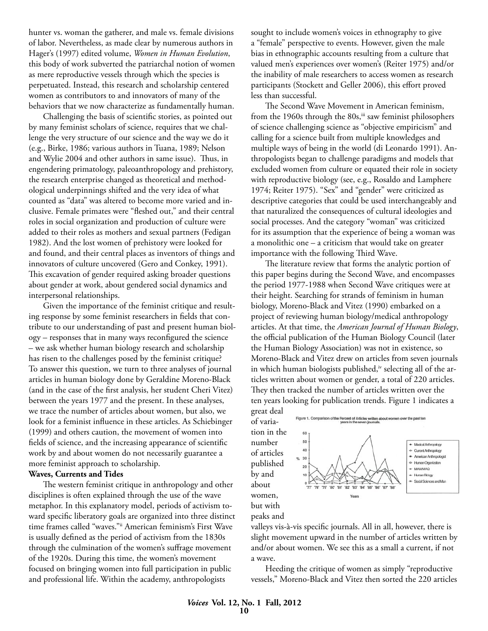hunter vs. woman the gatherer, and male vs. female divisions of labor. Nevertheless, as made clear by numerous authors in Hager's (1997) edited volume, *Women in Human Evolution*, this body of work subverted the patriarchal notion of women as mere reproductive vessels through which the species is perpetuated. Instead, this research and scholarship centered women as contributors to and innovators of many of the behaviors that we now characterize as fundamentally human.

Challenging the basis of scientific stories, as pointed out by many feminist scholars of science, requires that we challenge the very structure of our science and the way we do it (e.g., Birke, 1986; various authors in Tuana, 1989; Nelson and Wylie 2004 and other authors in same issue). Thus, in engendering primatology, paleoanthropology and prehistory, the research enterprise changed as theoretical and methodological underpinnings shifted and the very idea of what counted as "data" was altered to become more varied and inclusive. Female primates were "fleshed out," and their central roles in social organization and production of culture were added to their roles as mothers and sexual partners (Fedigan 1982). And the lost women of prehistory were looked for and found, and their central places as inventors of things and innovators of culture uncovered (Gero and Conkey, 1991). This excavation of gender required asking broader questions about gender at work, about gendered social dynamics and interpersonal relationships.

Given the importance of the feminist critique and resulting response by some feminist researchers in fields that contribute to our understanding of past and present human biology – responses that in many ways reconfigured the science – we ask whether human biology research and scholarship has risen to the challenges posed by the feminist critique? To answer this question, we turn to three analyses of journal articles in human biology done by Geraldine Moreno-Black (and in the case of the first analysis, her student Cheri Vitez) between the years 1977 and the present. In these analyses, we trace the number of articles about women, but also, we look for a feminist influence in these articles. As Schiebinger (1999) and others caution, the movement of women into fields of science, and the increasing appearance of scientific work by and about women do not necessarily guarantee a more feminist approach to scholarship.

#### **Waves, Currents and Tides**

The western feminist critique in anthropology and other disciplines is often explained through the use of the wave metaphor. In this explanatory model, periods of activism toward specific liberatory goals are organized into three distinct time frames called "waves."ii American feminism's First Wave is usually defined as the period of activism from the 1830s through the culmination of the women's suffrage movement of the 1920s. During this time, the women's movement focused on bringing women into full participation in public and professional life. Within the academy, anthropologists

sought to include women's voices in ethnography to give a "female" perspective to events. However, given the male bias in ethnographic accounts resulting from a culture that valued men's experiences over women's (Reiter 1975) and/or the inability of male researchers to access women as research participants (Stockett and Geller 2006), this effort proved less than successful.

The Second Wave Movement in American feminism, from the 1960s through the 80s,<sup>iii</sup> saw feminist philosophers of science challenging science as "objective empiricism" and calling for a science built from multiple knowledges and multiple ways of being in the world (di Leonardo 1991). Anthropologists began to challenge paradigms and models that excluded women from culture or equated their role in society with reproductive biology (see, e.g., Rosaldo and Lamphere 1974; Reiter 1975). "Sex" and "gender" were criticized as descriptive categories that could be used interchangeably and that naturalized the consequences of cultural ideologies and social processes. And the category "woman" was criticized for its assumption that the experience of being a woman was a monolithic one – a criticism that would take on greater importance with the following Third Wave.

The literature review that forms the analytic portion of this paper begins during the Second Wave, and encompasses the period 1977-1988 when Second Wave critiques were at their height. Searching for strands of feminism in human biology, Moreno-Black and Vitez (1990) embarked on a project of reviewing human biology/medical anthropology articles. At that time, the *American Journal of Human Biology*, the official publication of the Human Biology Council (later the Human Biology Association) was not in existence, so Moreno-Black and Vitez drew on articles from seven journals in which human biologists published,<sup>iv</sup> selecting all of the articles written about women or gender, a total of 220 articles. They then tracked the number of articles written over the ten years looking for publication trends. Figure 1 indicates a



valleys vis-à-vis specific journals. All in all, however, there is slight movement upward in the number of articles written by and/or about women. We see this as a small a current, if not a wave.

Heeding the critique of women as simply "reproductive vessels," Moreno-Black and Vitez then sorted the 220 articles

peaks and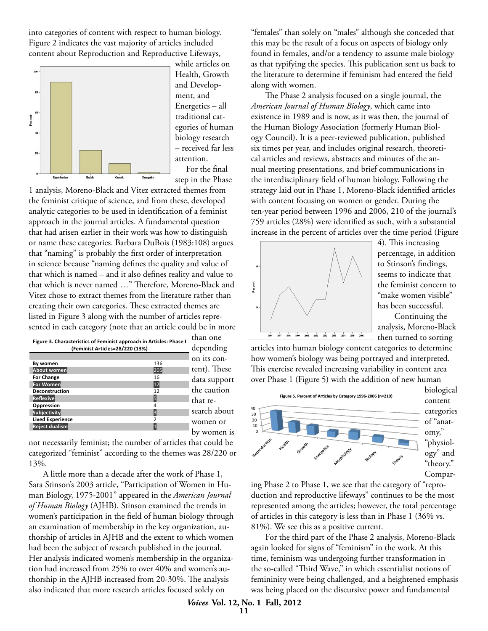into categories of content with respect to human biology. Figure 2 indicates the vast majority of articles included content about Reproduction and Reproductive Lifeways,



while articles on Health, Growth and Development, and Energetics – all traditional categories of human biology research – received far less attention. For the final step in the Phase

1 analysis, Moreno-Black and Vitez extracted themes from the feminist critique of science, and from these, developed analytic categories to be used in identification of a feminist approach in the journal articles. A fundamental question that had arisen earlier in their work was how to distinguish or name these categories. Barbara DuBois (1983:108) argues that "naming" is probably the first order of interpretation in science because "naming defines the quality and value of that which is named – and it also defines reality and value to that which is never named …" Therefore, Moreno-Black and Vitez chose to extract themes from the literature rather than creating their own categories. These extracted themes are listed in Figure 3 along with the number of articles represented in each category (note that an article could be in more  $\hskip1cm \Box$ 

| Figure 3. Characteristics of Feminist approach in Articles: Phase I |     | than one     |
|---------------------------------------------------------------------|-----|--------------|
| (Feminist Articles=28/220 (13%)                                     |     | depending    |
|                                                                     |     | on its con-  |
| By women                                                            | 136 |              |
| About women                                                         | 205 | tent). These |
| <b>For Change</b>                                                   | 16  | data suppor  |
| For Women                                                           | 12  |              |
| <b>Deconstruction</b>                                               | 12  | the caution  |
| Reflexive                                                           |     | that re-     |
| Oppression                                                          |     |              |
| <b>Subjectivity</b>                                                 | l੨  | search abou  |
| <b>Lived Experience</b>                                             |     | women or     |
| <b>Reject dualism</b>                                               |     |              |

port ion bout or by women is

not necessarily feminist; the number of articles that could be categorized "feminist" according to the themes was 28/220 or 13%.

A little more than a decade after the work of Phase 1, Sara Stinson's 2003 article, "Participation of Women in Human Biology, 1975-2001" appeared in the *American Journal of Human Biology* (AJHB). Stinson examined the trends in women's participation in the field of human biology through an examination of membership in the key organization, authorship of articles in AJHB and the extent to which women had been the subject of research published in the journal. Her analysis indicated women's membership in the organization had increased from 25% to over 40% and women's authorship in the AJHB increased from 20-30%. The analysis also indicated that more research articles focused solely on

"females" than solely on "males" although she conceded that this may be the result of a focus on aspects of biology only found in females, and/or a tendency to assume male biology as that typifying the species. This publication sent us back to the literature to determine if feminism had entered the field along with women.

The Phase 2 analysis focused on a single journal, the *American Journal of Human Biology*, which came into existence in 1989 and is now, as it was then, the journal of the Human Biology Association (formerly Human Biology Council). It is a peer-reviewed publication, published six times per year, and includes original research, theoretical articles and reviews, abstracts and minutes of the annual meeting presentations, and brief communications in the interdisciplinary field of human biology. Following the strategy laid out in Phase 1, Moreno-Black identified articles with content focusing on women or gender. During the ten-year period between 1996 and 2006, 210 of the journal's 759 articles (28%) were identified as such, with a substantial increase in the percent of articles over the time period (Figure



4). This increasing percentage, in addition to Stinson's findings, seems to indicate that the feminist concern to "make women visible" has been successful. Continuing the analysis, Moreno-Black

g articles into human biology content categories to determine how women's biology was being portrayed and interpreted. Biology 8 se This exercise revealed increasing variability in content area over Phase 1 (Figure 5) with the addition of new human  $\frac{1}{2}$ 



ing Phase 2 to Phase 1, we see that the category of "reproduction and reproductive lifeways" continues to be the most represented among the articles; however, the total percentage of articles in this category is less than in Phase 1 (36% vs. 81%). We see this as a positive current.

For the third part of the Phase 2 analysis, Moreno-Black again looked for signs of "feminism" in the work. At this time, feminism was undergoing further transformation in the so-called "Third Wave," in which essentialist notions of femininity were being challenged, and a heightened emphasis was being placed on the discursive power and fundamental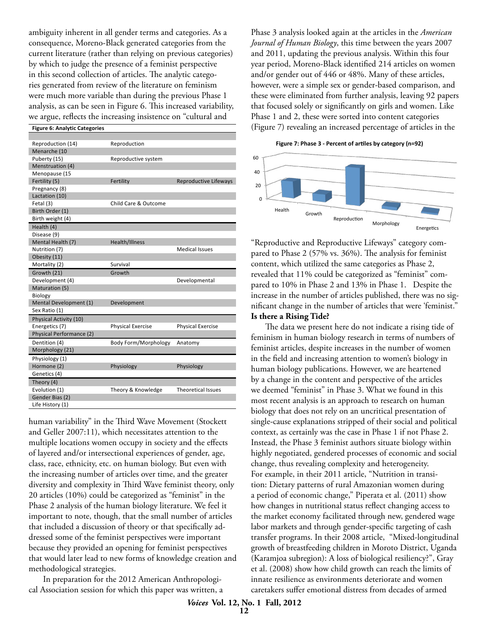ambiguity inherent in all gender terms and categories. As a consequence, Moreno-Black generated categories from the current literature (rather than relying on previous categories) by which to judge the presence of a feminist perspective in this second collection of articles. The analytic categories generated from review of the literature on feminism were much more variable than during the previous Phase 1 analysis, as can be seen in Figure 6. This increased variability, we argue, reflects the increasing insistence on "cultural and

#### **Figure 6: Analytic Categories**

| Reproduction (14)        | Reproduction             |                           |
|--------------------------|--------------------------|---------------------------|
| Menarche (10             |                          |                           |
| Puberty (15)             | Reproductive system      |                           |
| Menstruation (4)         |                          |                           |
| Menopause (15            |                          |                           |
| Fertility (5)            | Fertility                | Reproductive Lifeways     |
| Pregnancy (8)            |                          |                           |
| Lactation (10)           |                          |                           |
| Fetal (3)                | Child Care & Outcome     |                           |
| Birth Order (1)          |                          |                           |
| Birth weight (4)         |                          |                           |
| Health (4)               |                          |                           |
| Disease (9)              |                          |                           |
| Mental Health (7)        | Health/Illness           |                           |
| Nutrition (7)            |                          | <b>Medical Issues</b>     |
| Obesity (11)             |                          |                           |
| Mortality (2)            | Survival                 |                           |
| Growth (21)              | Growth                   |                           |
| Development (4)          |                          | Developmental             |
| Maturation (5)           |                          |                           |
| Biology                  |                          |                           |
| Mental Development (1)   | Development              |                           |
| Sex Ratio (1)            |                          |                           |
| Physical Activity (10)   |                          |                           |
| Energetics (7)           | <b>Physical Exercise</b> | <b>Physical Exercise</b>  |
| Physical Performance (2) |                          |                           |
| Dentition (4)            | Body Form/Morphology     | Anatomy                   |
| Morphology (21)          |                          |                           |
| Physiology (1)           |                          |                           |
| Hormone (2)              | Physiology               | Physiology                |
| Genetics (4)             |                          |                           |
| Theory (4)               |                          |                           |
| Evolution (1)            | Theory & Knowledge       | <b>Theoretical Issues</b> |
| Gender Bias (2)          |                          |                           |
| Life History (1)         |                          |                           |
|                          |                          |                           |

human variability" in the Third Wave Movement (Stockett and Geller 2007:11), which necessitates attention to the multiple locations women occupy in society and the effects of layered and/or intersectional experiences of gender, age, class, race, ethnicity, etc. on human biology. But even with the increasing number of articles over time, and the greater diversity and complexity in Third Wave feminist theory, only 20 articles (10%) could be categorized as "feminist" in the Phase 2 analysis of the human biology literature. We feel it important to note, though, that the small number of articles that included a discussion of theory or that specifically addressed some of the feminist perspectives were important because they provided an opening for feminist perspectives that would later lead to new forms of knowledge creation and methodological strategies.

In preparation for the 2012 American Anthropological Association session for which this paper was written, a

Phase 3 analysis looked again at the articles in the *American Journal of Human Biology*, this time between the years 2007 and 2011, updating the previous analysis. Within this four year period, Moreno-Black identified 214 articles on women and/or gender out of 446 or 48%. Many of these articles, however, were a simple sex or gender-based comparison, and these were eliminated from further analysis, leaving 92 papers ty, that focused solely or significantly on girls and women. Like  $\overline{P}$  Phase 1 and 2, these were sorted into content categories (Figure 7) revealing an increased percentage of articles in the  $\frac{1}{10}$ 

Figure 7: Phase 3 - Percent of artiles by category (n=92)



"Reproductive and Reproductive Lifeways" category compared to Phase 2 (57% vs. 36%). The analysis for feminist content, which utilized the same categories as Phase 2, revealed that 11% could be categorized as "feminist" compared to 10% in Phase 2 and 13% in Phase 1. Despite the increase in the number of articles published, there was no significant change in the number of articles that were 'feminist." **Is there a Rising Tide?**

The data we present here do not indicate a rising tide of feminism in human biology research in terms of numbers of feminist articles, despite increases in the number of women in the field and increasing attention to women's biology in human biology publications. However, we are heartened by a change in the content and perspective of the articles we deemed "feminist" in Phase 3. What we found in this most recent analysis is an approach to research on human biology that does not rely on an uncritical presentation of single-cause explanations stripped of their social and political context, as certainly was the case in Phase 1 if not Phase 2. Instead, the Phase 3 feminist authors situate biology within highly negotiated, gendered processes of economic and social change, thus revealing complexity and heterogeneity. For example, in their 2011 article, "Nutrition in transition: Dietary patterns of rural Amazonian women during a period of economic change," Piperata et al. (2011) show how changes in nutritional status reflect changing access to the market economy facilitated through new, gendered wage labor markets and through gender-specific targeting of cash transfer programs. In their 2008 article, "Mixed-longitudinal growth of breastfeeding children in Moroto District, Uganda (Karamjoa subregion): A loss of biological resiliency?", Gray et al. (2008) show how child growth can reach the limits of innate resilience as environments deteriorate and women caretakers suffer emotional distress from decades of armed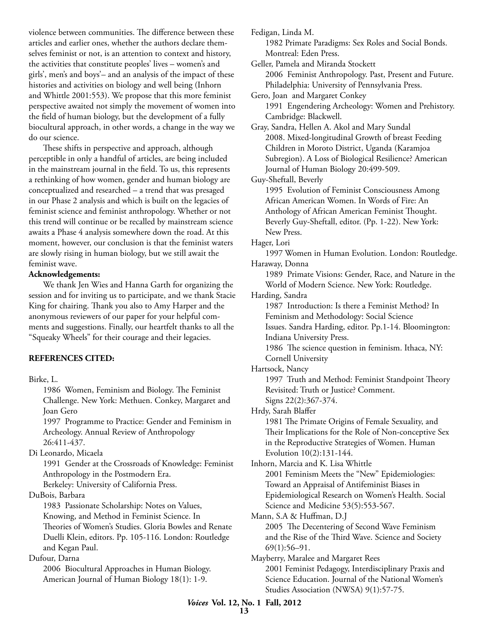violence between communities. The difference between these articles and earlier ones, whether the authors declare themselves feminist or not, is an attention to context and history, the activities that constitute peoples' lives – women's and girls', men's and boys'– and an analysis of the impact of these histories and activities on biology and well being (Inhorn and Whittle 2001:553). We propose that this more feminist perspective awaited not simply the movement of women into the field of human biology, but the development of a fully biocultural approach, in other words, a change in the way we do our science.

These shifts in perspective and approach, although perceptible in only a handful of articles, are being included in the mainstream journal in the field. To us, this represents a rethinking of how women, gender and human biology are conceptualized and researched – a trend that was presaged in our Phase 2 analysis and which is built on the legacies of feminist science and feminist anthropology. Whether or not this trend will continue or be recalled by mainstream science awaits a Phase 4 analysis somewhere down the road. At this moment, however, our conclusion is that the feminist waters are slowly rising in human biology, but we still await the feminist wave.

#### **Acknowledgements:**

We thank Jen Wies and Hanna Garth for organizing the session and for inviting us to participate, and we thank Stacie King for chairing. Thank you also to Amy Harper and the anonymous reviewers of our paper for your helpful comments and suggestions. Finally, our heartfelt thanks to all the "Squeaky Wheels" for their courage and their legacies.

#### **REFERENCES CITED:**

Birke, L.

 1986 Women, Feminism and Biology. The Feminist Challenge. New York: Methuen. Conkey, Margaret and Joan Gero 1997 Programme to Practice: Gender and Feminism in Archeology. Annual Review of Anthropology 26:411-437. Di Leonardo, Micaela 1991 Gender at the Crossroads of Knowledge: Feminist Anthropology in the Postmodern Era. Berkeley: University of California Press. DuBois, Barbara 1983 Passionate Scholarship: Notes on Values, Knowing, and Method in Feminist Science. In Theories of Women's Studies. Gloria Bowles and Renate Duelli Klein, editors. Pp. 105-116. London: Routledge and Kegan Paul. Dufour, Darna 2006 Biocultural Approaches in Human Biology. American Journal of Human Biology 18(1): 1-9.

Fedigan, Linda M. 1982 Primate Paradigms: Sex Roles and Social Bonds. Montreal: Eden Press. Geller, Pamela and Miranda Stockett 2006 Feminist Anthropology. Past, Present and Future. Philadelphia: University of Pennsylvania Press. Gero, Joan and Margaret Conkey 1991 Engendering Archeology: Women and Prehistory. Cambridge: Blackwell. Gray, Sandra, Hellen A. Akol and Mary Sundal 2008. Mixed-longitudinal Growth of breast Feeding Children in Moroto District, Uganda (Karamjoa Subregion). A Loss of Biological Resilience? American Journal of Human Biology 20:499-509. Guy-Sheftall, Beverly 1995 Evolution of Feminist Consciousness Among African American Women. In Words of Fire: An Anthology of African American Feminist Thought. Beverly Guy-Sheftall, editor. (Pp. 1-22). New York: New Press. Hager, Lori 1997 Women in Human Evolution. London: Routledge. Haraway, Donna 1989 Primate Visions: Gender, Race, and Nature in the World of Modern Science. New York: Routledge. Harding, Sandra 1987 Introduction: Is there a Feminist Method? In Feminism and Methodology: Social Science Issues. Sandra Harding, editor. Pp.1-14. Bloomington: Indiana University Press. 1986 The science question in feminism. Ithaca, NY: Cornell University Hartsock, Nancy 1997 Truth and Method: Feminist Standpoint Theory Revisited: Truth or Justice? Comment. Signs 22(2):367-374. Hrdy, Sarah Blaffer 1981 The Primate Origins of Female Sexuality, and Their Implications for the Role of Non-conceptive Sex in the Reproductive Strategies of Women. Human Evolution 10(2):131-144. Inhorn, Marcia and K. Lisa Whittle 2001 Feminism Meets the "New" Epidemiologies: Toward an Appraisal of Antifeminist Biases in Epidemiological Research on Women's Health. Social Science and Medicine 53(5):553-567. Mann, S.A & Huffman, D.J 2005 The Decentering of Second Wave Feminism and the Rise of the Third Wave. Science and Society 69(1):56–91. Mayberry, Maralee and Margaret Rees 2001 Feminist Pedagogy, Interdisciplinary Praxis and Science Education. Journal of the National Women's Studies Association (NWSA) 9(1):57-75.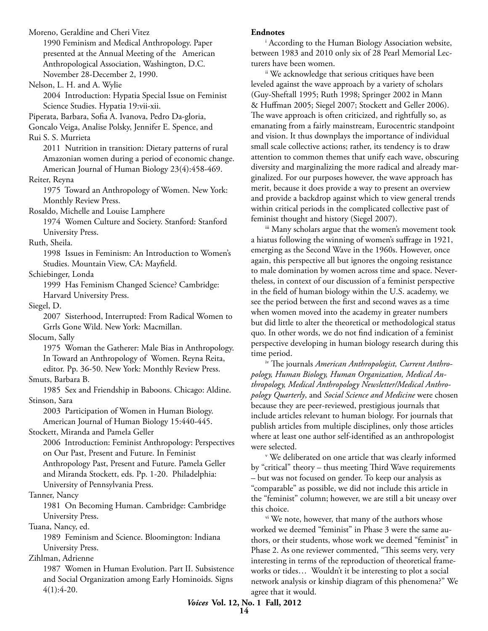Moreno, Geraldine and Cheri Vitez 1990 Feminism and Medical Anthropology. Paper presented at the Annual Meeting of the American Anthropological Association, Washington, D.C. November 28-December 2, 1990. Nelson, L. H. and A. Wylie 2004 Introduction: Hypatia Special Issue on Feminist Science Studies. Hypatia 19:vii-xii. Piperata, Barbara, Sofia A. Ivanova, Pedro Da-gloria, Goncalo Veiga, Analise Polsky, Jennifer E. Spence, and Rui S. S. Murrieta 2011 Nutrition in transition: Dietary patterns of rural Amazonian women during a period of economic change. American Journal of Human Biology 23(4):458-469. Reiter, Reyna 1975 Toward an Anthropology of Women. New York: Monthly Review Press. Rosaldo, Michelle and Louise Lamphere 1974 Women Culture and Society. Stanford: Stanford University Press. Ruth, Sheila. 1998 Issues in Feminism: An Introduction to Women's Studies. Mountain View, CA: Mayfield. Schiebinger, Londa 1999 Has Feminism Changed Science? Cambridge: Harvard University Press. Siegel, D. 2007 Sisterhood, Interrupted: From Radical Women to Grrls Gone Wild. New York: Macmillan. Slocum, Sally 1975 Woman the Gatherer: Male Bias in Anthropology. In Toward an Anthropology of Women. Reyna Reita, editor. Pp. 36-50. New York: Monthly Review Press. Smuts, Barbara B. 1985 Sex and Friendship in Baboons. Chicago: Aldine. Stinson, Sara 2003 Participation of Women in Human Biology. American Journal of Human Biology 15:440-445. Stockett, Miranda and Pamela Geller 2006 Introduction: Feminist Anthropology: Perspectives on Our Past, Present and Future. In Feminist Anthropology Past, Present and Future. Pamela Geller and Miranda Stockett, eds. Pp. 1-20. Philadelphia: University of Pennsylvania Press. Tanner, Nancy 1981 On Becoming Human. Cambridge: Cambridge University Press. Tuana, Nancy, ed. 1989 Feminism and Science. Bloomington: Indiana University Press. Zihlman, Adrienne 1987 Women in Human Evolution. Part II. Subsistence and Social Organization among Early Hominoids. Signs 4(1):4-20.

#### **Endnotes**

i According to the Human Biology Association website, between 1983 and 2010 only six of 28 Pearl Memorial Lecturers have been women.

 ii We acknowledge that serious critiques have been leveled against the wave approach by a variety of scholars (Guy-Sheftall 1995; Ruth 1998; Springer 2002 in Mann & Huffman 2005; Siegel 2007; Stockett and Geller 2006). The wave approach is often criticized, and rightfully so, as emanating from a fairly mainstream, Eurocentric standpoint and vision. It thus downplays the importance of individual small scale collective actions; rather, its tendency is to draw attention to common themes that unify each wave, obscuring diversity and marginalizing the more radical and already marginalized. For our purposes however, the wave approach has merit, because it does provide a way to present an overview and provide a backdrop against which to view general trends within critical periods in the complicated collective past of feminist thought and history (Siegel 2007).

 iii Many scholars argue that the women's movement took a hiatus following the winning of women's suffrage in 1921, emerging as the Second Wave in the 1960s. However, once again, this perspective all but ignores the ongoing resistance to male domination by women across time and space. Nevertheless, in context of our discussion of a feminist perspective in the field of human biology within the U.S. academy, we see the period between the first and second waves as a time when women moved into the academy in greater numbers but did little to alter the theoretical or methodological status quo. In other words, we do not find indication of a feminist perspective developing in human biology research during this time period.

iv The journals *American Anthropologist, Current Anthropology, Human Biology, Human Organization, Medical Anthropology, Medical Anthropology Newsletter/Medical Anthropology Quarterly*, and *Social Science and Medicine* were chosen because they are peer-reviewed, prestigious journals that include articles relevant to human biology. For journals that publish articles from multiple disciplines, only those articles where at least one author self-identified as an anthropologist were selected.

v We deliberated on one article that was clearly informed by "critical" theory – thus meeting Third Wave requirements – but was not focused on gender. To keep our analysis as "comparable" as possible, we did not include this article in the "feminist" column; however, we are still a bit uneasy over this choice.

<sup>vi</sup> We note, however, that many of the authors whose worked we deemed "feminist" in Phase 3 were the same authors, or their students, whose work we deemed "feminist" in Phase 2. As one reviewer commented, "This seems very, very interesting in terms of the reproduction of theoretical frameworks or tides… Wouldn't it be interesting to plot a social network analysis or kinship diagram of this phenomena?" We agree that it would.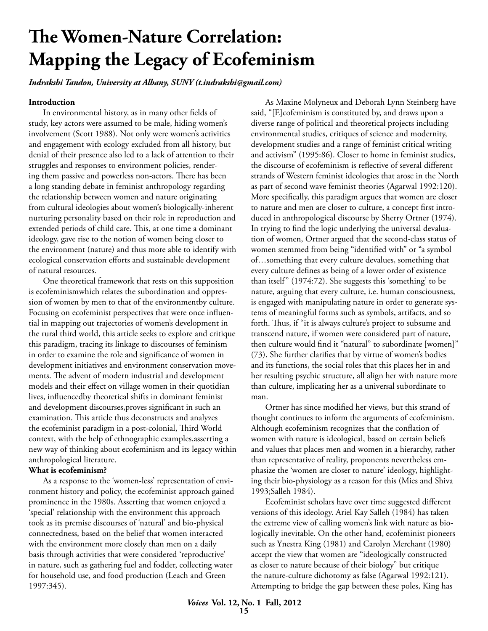# **The Women-Nature Correlation: Mapping the Legacy of Ecofeminism**

*Indrakshi Tandon, University at Albany, SUNY (t.indrakshi@gmail.com)*

#### **Introduction**

In environmental history, as in many other fields of study, key actors were assumed to be male, hiding women's involvement (Scott 1988). Not only were women's activities and engagement with ecology excluded from all history, but denial of their presence also led to a lack of attention to their struggles and responses to environment policies, rendering them passive and powerless non-actors. There has been a long standing debate in feminist anthropology regarding the relationship between women and nature originating from cultural ideologies about women's biologically-inherent nurturing personality based on their role in reproduction and extended periods of child care. This, at one time a dominant ideology, gave rise to the notion of women being closer to the environment (nature) and thus more able to identify with ecological conservation efforts and sustainable development of natural resources.

One theoretical framework that rests on this supposition is ecofeminismwhich relates the subordination and oppression of women by men to that of the environmentby culture. Focusing on ecofeminist perspectives that were once influential in mapping out trajectories of women's development in the rural third world, this article seeks to explore and critique this paradigm, tracing its linkage to discourses of feminism in order to examine the role and significance of women in development initiatives and environment conservation movements. The advent of modern industrial and development models and their effect on village women in their quotidian lives, influencedby theoretical shifts in dominant feminist and development discourses,proves significant in such an examination. This article thus deconstructs and analyzes the ecofeminist paradigm in a post-colonial, Third World context, with the help of ethnographic examples,asserting a new way of thinking about ecofeminism and its legacy within anthropological literature.

#### **What is ecofeminism?**

As a response to the 'women-less' representation of environment history and policy, the ecofeminist approach gained prominence in the 1980s. Asserting that women enjoyed a 'special' relationship with the environment this approach took as its premise discourses of 'natural' and bio-physical connectedness, based on the belief that women interacted with the environment more closely than men on a daily basis through activities that were considered 'reproductive' in nature, such as gathering fuel and fodder, collecting water for household use, and food production (Leach and Green 1997:345).

As Maxine Molyneux and Deborah Lynn Steinberg have said, "[E]cofeminism is constituted by, and draws upon a diverse range of political and theoretical projects including environmental studies, critiques of science and modernity, development studies and a range of feminist critical writing and activism" (1995:86). Closer to home in feminist studies, the discourse of ecofeminism is reflective of several different strands of Western feminist ideologies that arose in the North as part of second wave feminist theories (Agarwal 1992:120). More specifically, this paradigm argues that women are closer to nature and men are closer to culture, a concept first introduced in anthropological discourse by Sherry Ortner (1974). In trying to find the logic underlying the universal devaluation of women, Ortner argued that the second-class status of women stemmed from being "identified with" or "a symbol of…something that every culture devalues, something that every culture defines as being of a lower order of existence than itself" (1974:72). She suggests this 'something' to be nature, arguing that every culture, i.e. human consciousness, is engaged with manipulating nature in order to generate systems of meaningful forms such as symbols, artifacts, and so forth. Thus, if "it is always culture's project to subsume and transcend nature, if women were considered part of nature, then culture would find it "natural" to subordinate [women]" (73). She further clarifies that by virtue of women's bodies and its functions, the social roles that this places her in and her resulting psychic structure, all align her with nature more than culture, implicating her as a universal subordinate to man.

Ortner has since modified her views, but this strand of thought continues to inform the arguments of ecofeminism. Although ecofeminism recognizes that the conflation of women with nature is ideological, based on certain beliefs and values that places men and women in a hierarchy, rather than representative of reality, proponents nevertheless emphasize the 'women are closer to nature' ideology, highlighting their bio-physiology as a reason for this (Mies and Shiva 1993;Salleh 1984).

Ecofeminist scholars have over time suggested different versions of this ideology. Ariel Kay Salleh (1984) has taken the extreme view of calling women's link with nature as biologically inevitable. On the other hand, ecofeminist pioneers such as Ynestra King (1981) and Carolyn Merchant (1980) accept the view that women are "ideologically constructed as closer to nature because of their biology" but critique the nature-culture dichotomy as false (Agarwal 1992:121). Attempting to bridge the gap between these poles, King has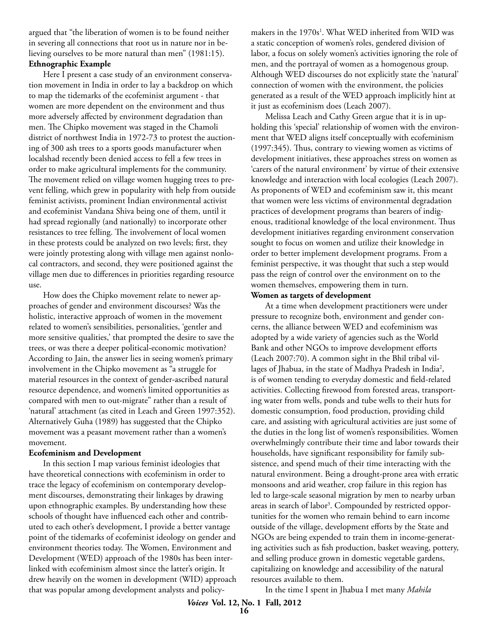argued that "the liberation of women is to be found neither in severing all connections that root us in nature nor in believing ourselves to be more natural than men" (1981:15). **Ethnographic Example**

Here I present a case study of an environment conservation movement in India in order to lay a backdrop on which to map the tidemarks of the ecofeminist argument - that women are more dependent on the environment and thus more adversely affected by environment degradation than men. The Chipko movement was staged in the Chamoli district of northwest India in 1972-73 to protest the auctioning of 300 ash trees to a sports goods manufacturer when localshad recently been denied access to fell a few trees in order to make agricultural implements for the community. The movement relied on village women hugging trees to prevent felling, which grew in popularity with help from outside feminist activists, prominent Indian environmental activist and ecofeminist Vandana Shiva being one of them, until it had spread regionally (and nationally) to incorporate other resistances to tree felling. The involvement of local women in these protests could be analyzed on two levels; first, they were jointly protesting along with village men against nonlocal contractors, and second, they were positioned against the village men due to differences in priorities regarding resource use.

How does the Chipko movement relate to newer approaches of gender and environment discourses? Was the holistic, interactive approach of women in the movement related to women's sensibilities, personalities, 'gentler and more sensitive qualities,' that prompted the desire to save the trees, or was there a deeper political-economic motivation? According to Jain, the answer lies in seeing women's primary involvement in the Chipko movement as "a struggle for material resources in the context of gender-ascribed natural resource dependence, and women's limited opportunities as compared with men to out-migrate" rather than a result of 'natural' attachment (as cited in Leach and Green 1997:352). Alternatively Guha (1989) has suggested that the Chipko movement was a peasant movement rather than a women's movement.

#### **Ecofeminism and Development**

In this section I map various feminist ideologies that have theoretical connections with ecofeminism in order to trace the legacy of ecofeminism on contemporary development discourses, demonstrating their linkages by drawing upon ethnographic examples. By understanding how these schools of thought have influenced each other and contributed to each other's development, I provide a better vantage point of the tidemarks of ecofeminist ideology on gender and environment theories today. The Women, Environment and Development (WED) approach of the 1980s has been interlinked with ecofeminism almost since the latter's origin. It drew heavily on the women in development (WID) approach that was popular among development analysts and policy-

makers in the 1970s<sup>1</sup>. What WED inherited from WID was a static conception of women's roles, gendered division of labor, a focus on solely women's activities ignoring the role of men, and the portrayal of women as a homogenous group. Although WED discourses do not explicitly state the 'natural' connection of women with the environment, the policies generated as a result of the WED approach implicitly hint at it just as ecofeminism does (Leach 2007).

Melissa Leach and Cathy Green argue that it is in upholding this 'special' relationship of women with the environment that WED aligns itself conceptually with ecofeminism (1997:345). Thus, contrary to viewing women as victims of development initiatives, these approaches stress on women as 'carers of the natural environment' by virtue of their extensive knowledge and interaction with local ecologies (Leach 2007). As proponents of WED and ecofeminism saw it, this meant that women were less victims of environmental degradation practices of development programs than bearers of indigenous, traditional knowledge of the local environment. Thus development initiatives regarding environment conservation sought to focus on women and utilize their knowledge in order to better implement development programs. From a feminist perspective, it was thought that such a step would pass the reign of control over the environment on to the women themselves, empowering them in turn.

#### **Women as targets of development**

At a time when development practitioners were under pressure to recognize both, environment and gender concerns, the alliance between WED and ecofeminism was adopted by a wide variety of agencies such as the World Bank and other NGOs to improve development efforts (Leach 2007:70). A common sight in the Bhil tribal villages of Jhabua, in the state of Madhya Pradesh in India<sup>2</sup>, is of women tending to everyday domestic and field-related activities. Collecting firewood from forested areas, transporting water from wells, ponds and tube wells to their huts for domestic consumption, food production, providing child care, and assisting with agricultural activities are just some of the duties in the long list of women's responsibilities. Women overwhelmingly contribute their time and labor towards their households, have significant responsibility for family subsistence, and spend much of their time interacting with the natural environment. Being a drought-prone area with erratic monsoons and arid weather, crop failure in this region has led to large-scale seasonal migration by men to nearby urban areas in search of labor<sup>3</sup>. Compounded by restricted opportunities for the women who remain behind to earn income outside of the village, development efforts by the State and NGOs are being expended to train them in income-generating activities such as fish production, basket weaving, pottery, and selling produce grown in domestic vegetable gardens, capitalizing on knowledge and accessibility of the natural resources available to them.

In the time I spent in Jhabua I met many *Mahila*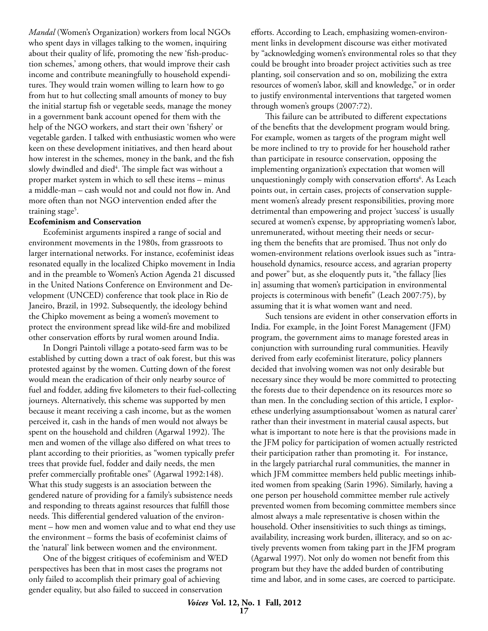*Mandal* (Women's Organization) workers from local NGOs who spent days in villages talking to the women, inquiring about their quality of life, promoting the new 'fish-production schemes,' among others, that would improve their cash income and contribute meaningfully to household expenditures. They would train women willing to learn how to go from hut to hut collecting small amounts of money to buy the initial startup fish or vegetable seeds, manage the money in a government bank account opened for them with the help of the NGO workers, and start their own 'fishery' or vegetable garden. I talked with enthusiastic women who were keen on these development initiatives, and then heard about how interest in the schemes, money in the bank, and the fish slowly dwindled and died<sup>4</sup>. The simple fact was without a proper market system in which to sell these items – minus a middle-man – cash would not and could not flow in. And more often than not NGO intervention ended after the training stage<sup>5</sup>.

#### **Ecofeminism and Conservation**

Ecofeminist arguments inspired a range of social and environment movements in the 1980s, from grassroots to larger international networks. For instance, ecofeminist ideas resonated equally in the localized Chipko movement in India and in the preamble to Women's Action Agenda 21 discussed in the United Nations Conference on Environment and Development (UNCED) conference that took place in Rio de Janeiro, Brazil, in 1992. Subsequently, the ideology behind the Chipko movement as being a women's movement to protect the environment spread like wild-fire and mobilized other conservation efforts by rural women around India.

In Dongri Paintoli village a potato-seed farm was to be established by cutting down a tract of oak forest, but this was protested against by the women. Cutting down of the forest would mean the eradication of their only nearby source of fuel and fodder, adding five kilometers to their fuel-collecting journeys. Alternatively, this scheme was supported by men because it meant receiving a cash income, but as the women perceived it, cash in the hands of men would not always be spent on the household and children (Agarwal 1992). The men and women of the village also differed on what trees to plant according to their priorities, as "women typically prefer trees that provide fuel, fodder and daily needs, the men prefer commercially profitable ones" (Agarwal 1992:148). What this study suggests is an association between the gendered nature of providing for a family's subsistence needs and responding to threats against resources that fulfill those needs. This differential gendered valuation of the environment – how men and women value and to what end they use the environment – forms the basis of ecofeminist claims of the 'natural' link between women and the environment.

One of the biggest critiques of ecofeminism and WED perspectives has been that in most cases the programs not only failed to accomplish their primary goal of achieving gender equality, but also failed to succeed in conservation

efforts. According to Leach, emphasizing women-environment links in development discourse was either motivated by "acknowledging women's environmental roles so that they could be brought into broader project activities such as tree planting, soil conservation and so on, mobilizing the extra resources of women's labor, skill and knowledge," or in order to justify environmental interventions that targeted women through women's groups (2007:72).

This failure can be attributed to different expectations of the benefits that the development program would bring. For example, women as targets of the program might well be more inclined to try to provide for her household rather than participate in resource conservation, opposing the implementing organization's expectation that women will unquestioningly comply with conservation efforts<sup>6</sup>. As Leach points out, in certain cases, projects of conservation supplement women's already present responsibilities, proving more detrimental than empowering and project 'success' is usually secured at women's expense, by appropriating women's labor, unremunerated, without meeting their needs or securing them the benefits that are promised. Thus not only do women-environment relations overlook issues such as "intrahousehold dynamics, resource access, and agrarian property and power" but, as she eloquently puts it, "the fallacy [lies in] assuming that women's participation in environmental projects is coterminous with benefit" (Leach 2007:75), by assuming that it is what women want and need.

Such tensions are evident in other conservation efforts in India. For example, in the Joint Forest Management (JFM) program, the government aims to manage forested areas in conjunction with surrounding rural communities. Heavily derived from early ecofeminist literature, policy planners decided that involving women was not only desirable but necessary since they would be more committed to protecting the forests due to their dependence on its resources more so than men. In the concluding section of this article, I explorethese underlying assumptionsabout 'women as natural carer' rather than their investment in material causal aspects, but what is important to note here is that the provisions made in the JFM policy for participation of women actually restricted their participation rather than promoting it. For instance, in the largely patriarchal rural communities, the manner in which JFM committee members held public meetings inhibited women from speaking (Sarin 1996). Similarly, having a one person per household committee member rule actively prevented women from becoming committee members since almost always a male representative is chosen within the household. Other insensitivities to such things as timings, availability, increasing work burden, illiteracy, and so on actively prevents women from taking part in the JFM program (Agarwal 1997). Not only do women not benefit from this program but they have the added burden of contributing time and labor, and in some cases, are coerced to participate.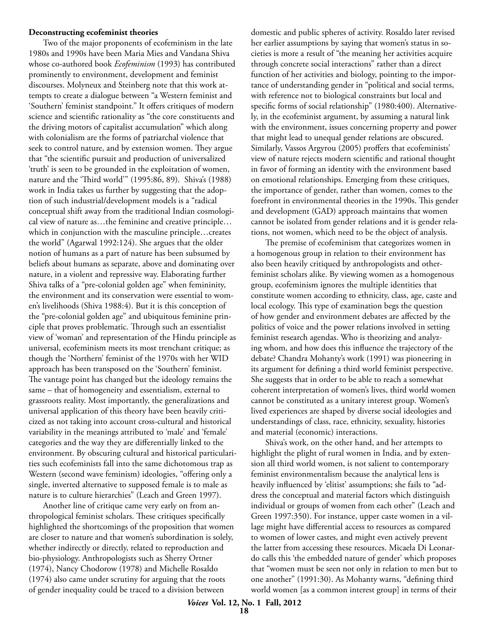#### **Deconstructing ecofeminist theories**

Two of the major proponents of ecofeminism in the late 1980s and 1990s have been Maria Mies and Vandana Shiva whose co-authored book *Ecofeminism* (1993) has contributed prominently to environment, development and feminist discourses. Molyneux and Steinberg note that this work attempts to create a dialogue between "a Western feminist and 'Southern' feminist standpoint." It offers critiques of modern science and scientific rationality as "the core constituents and the driving motors of capitalist accumulation" which along with colonialism are the forms of patriarchal violence that seek to control nature, and by extension women. They argue that "the scientific pursuit and production of universalized 'truth' is seen to be grounded in the exploitation of women, nature and the 'Third world'" (1995:86, 89). Shiva's (1988) work in India takes us further by suggesting that the adoption of such industrial/development models is a "radical conceptual shift away from the traditional Indian cosmological view of nature as…the feminine and creative principle… which in conjunction with the masculine principle…creates the world" (Agarwal 1992:124). She argues that the older notion of humans as a part of nature has been subsumed by beliefs about humans as separate, above and dominating over nature, in a violent and repressive way. Elaborating further Shiva talks of a "pre-colonial golden age" when femininity, the environment and its conservation were essential to women's livelihoods (Shiva 1988:4). But it is this conception of the "pre-colonial golden age" and ubiquitous feminine principle that proves problematic. Through such an essentialist view of 'woman' and representation of the Hindu principle as universal, ecofeminism meets its most trenchant critique; as though the 'Northern' feminist of the 1970s with her WID approach has been transposed on the 'Southern' feminist. The vantage point has changed but the ideology remains the same – that of homogeneity and essentialism, external to grassroots reality. Most importantly, the generalizations and universal application of this theory have been heavily criticized as not taking into account cross-cultural and historical variability in the meanings attributed to 'male' and 'female' categories and the way they are differentially linked to the environment. By obscuring cultural and historical particularities such ecofeminists fall into the same dichotomous trap as Western (second wave feminism) ideologies, "offering only a single, inverted alternative to supposed female is to male as nature is to culture hierarchies" (Leach and Green 1997).

Another line of critique came very early on from anthropological feminist scholars. These critiques specifically highlighted the shortcomings of the proposition that women are closer to nature and that women's subordination is solely, whether indirectly or directly, related to reproduction and bio-physiology. Anthropologists such as Sherry Ortner (1974), Nancy Chodorow (1978) and Michelle Rosaldo (1974) also came under scrutiny for arguing that the roots of gender inequality could be traced to a division between

domestic and public spheres of activity. Rosaldo later revised her earlier assumptions by saying that women's status in societies is more a result of "the meaning her activities acquire through concrete social interactions" rather than a direct function of her activities and biology, pointing to the importance of understanding gender in "political and social terms, with reference not to biological constraints but local and specific forms of social relationship" (1980:400). Alternatively, in the ecofeminist argument, by assuming a natural link with the environment, issues concerning property and power that might lead to unequal gender relations are obscured. Similarly, Vassos Argyrou (2005) proffers that ecofeminists' view of nature rejects modern scientific and rational thought in favor of forming an identity with the environment based on emotional relationships. Emerging from these critiques, the importance of gender, rather than women, comes to the forefront in environmental theories in the 1990s. This gender and development (GAD) approach maintains that women cannot be isolated from gender relations and it is gender relations, not women, which need to be the object of analysis.

The premise of ecofeminism that categorizes women in a homogenous group in relation to their environment has also been heavily critiqued by anthropologists and otherfeminist scholars alike. By viewing women as a homogenous group, ecofeminism ignores the multiple identities that constitute women according to ethnicity, class, age, caste and local ecology. This type of examination begs the question of how gender and environment debates are affected by the politics of voice and the power relations involved in setting feminist research agendas. Who is theorizing and analyzing whom, and how does this influence the trajectory of the debate? Chandra Mohanty's work (1991) was pioneering in its argument for defining a third world feminist perspective. She suggests that in order to be able to reach a somewhat coherent interpretation of women's lives, third world women cannot be constituted as a unitary interest group. Women's lived experiences are shaped by diverse social ideologies and understandings of class, race, ethnicity, sexuality, histories and material (economic) interactions.

Shiva's work, on the other hand, and her attempts to highlight the plight of rural women in India, and by extension all third world women, is not salient to contemporary feminist environmentalism because the analytical lens is heavily influenced by 'elitist' assumptions; she fails to "address the conceptual and material factors which distinguish individual or groups of women from each other" (Leach and Green 1997:350). For instance, upper caste women in a village might have differential access to resources as compared to women of lower castes, and might even actively prevent the latter from accessing these resources. Micaela Di Leonardo calls this 'the embedded nature of gender' which proposes that "women must be seen not only in relation to men but to one another" (1991:30). As Mohanty warns, "defining third world women [as a common interest group] in terms of their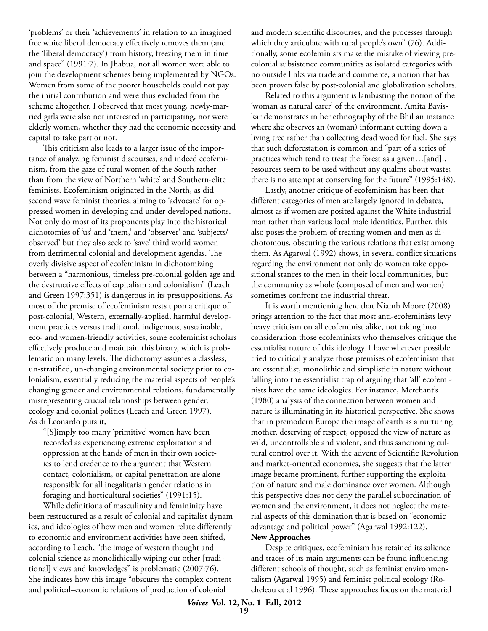'problems' or their 'achievements' in relation to an imagined free white liberal democracy effectively removes them (and the 'liberal democracy') from history, freezing them in time and space" (1991:7). In Jhabua, not all women were able to join the development schemes being implemented by NGOs. Women from some of the poorer households could not pay the initial contribution and were thus excluded from the scheme altogether. I observed that most young, newly-married girls were also not interested in participating, nor were elderly women, whether they had the economic necessity and capital to take part or not.

This criticism also leads to a larger issue of the importance of analyzing feminist discourses, and indeed ecofeminism, from the gaze of rural women of the South rather than from the view of Northern 'white' and Southern-elite feminists. Ecofeminism originated in the North, as did second wave feminist theories, aiming to 'advocate' for oppressed women in developing and under-developed nations. Not only do most of its proponents play into the historical dichotomies of 'us' and 'them,' and 'observer' and 'subjects/ observed' but they also seek to 'save' third world women from detrimental colonial and development agendas. The overly divisive aspect of ecofeminism in dichotomizing between a "harmonious, timeless pre-colonial golden age and the destructive effects of capitalism and colonialism" (Leach and Green 1997:351) is dangerous in its presuppositions. As most of the premise of ecofeminism rests upon a critique of post-colonial, Western, externally-applied, harmful development practices versus traditional, indigenous, sustainable, eco- and women-friendly activities, some ecofeminist scholars effectively produce and maintain this binary, which is problematic on many levels. The dichotomy assumes a classless, un-stratified, un-changing environmental society prior to colonialism, essentially reducing the material aspects of people's changing gender and environmental relations, fundamentally misrepresenting crucial relationships between gender, ecology and colonial politics (Leach and Green 1997). As di Leonardo puts it,

"[S]imply too many 'primitive' women have been recorded as experiencing extreme exploitation and oppression at the hands of men in their own societies to lend credence to the argument that Western contact, colonialism, or capital penetration are alone responsible for all inegalitarian gender relations in foraging and horticultural societies" (1991:15).

While definitions of masculinity and femininity have been restructured as a result of colonial and capitalist dynamics, and ideologies of how men and women relate differently to economic and environment activities have been shifted, according to Leach, "the image of western thought and colonial science as monolithically wiping out other [traditional] views and knowledges" is problematic (2007:76). She indicates how this image "obscures the complex content and political–economic relations of production of colonial

and modern scientific discourses, and the processes through which they articulate with rural people's own" (76). Additionally, some ecofeminists make the mistake of viewing precolonial subsistence communities as isolated categories with no outside links via trade and commerce, a notion that has been proven false by post-colonial and globalization scholars.

Related to this argument is lambasting the notion of the 'woman as natural carer' of the environment. Amita Baviskar demonstrates in her ethnography of the Bhil an instance where she observes an (woman) informant cutting down a living tree rather than collecting dead wood for fuel. She says that such deforestation is common and "part of a series of practices which tend to treat the forest as a given…[and].. resources seem to be used without any qualms about waste; there is no attempt at conserving for the future" (1995:148).

Lastly, another critique of ecofeminism has been that different categories of men are largely ignored in debates, almost as if women are posited against the White industrial man rather than various local male identities. Further, this also poses the problem of treating women and men as dichotomous, obscuring the various relations that exist among them. As Agarwal (1992) shows, in several conflict situations regarding the environment not only do women take oppositional stances to the men in their local communities, but the community as whole (composed of men and women) sometimes confront the industrial threat.

It is worth mentioning here that Niamh Moore (2008) brings attention to the fact that most anti-ecofeminists levy heavy criticism on all ecofeminist alike, not taking into consideration those ecofeminists who themselves critique the essentialist nature of this ideology. I have wherever possible tried to critically analyze those premises of ecofeminism that are essentialist, monolithic and simplistic in nature without falling into the essentialist trap of arguing that 'all' ecofeminists have the same ideologies. For instance, Merchant's (1980) analysis of the connection between women and nature is illuminating in its historical perspective. She shows that in premodern Europe the image of earth as a nurturing mother, deserving of respect, opposed the view of nature as wild, uncontrollable and violent, and thus sanctioning cultural control over it. With the advent of Scientific Revolution and market-oriented economies, she suggests that the latter image became prominent, further supporting the exploitation of nature and male dominance over women. Although this perspective does not deny the parallel subordination of women and the environment, it does not neglect the material aspects of this domination that is based on "economic advantage and political power" (Agarwal 1992:122). **New Approaches**

Despite critiques, ecofeminism has retained its salience and traces of its main arguments can be found influencing different schools of thought, such as feminist environmentalism (Agarwal 1995) and feminist political ecology (Rocheleau et al 1996). These approaches focus on the material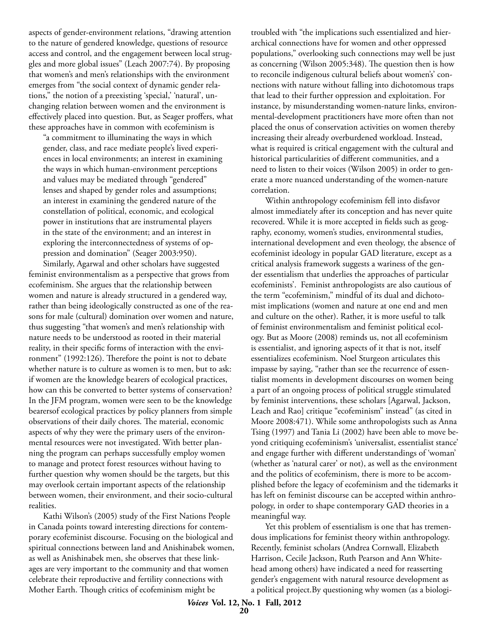aspects of gender-environment relations, "drawing attention to the nature of gendered knowledge, questions of resource access and control, and the engagement between local struggles and more global issues" (Leach 2007:74). By proposing that women's and men's relationships with the environment emerges from "the social context of dynamic gender relations," the notion of a preexisting 'special,' 'natural', unchanging relation between women and the environment is effectively placed into question. But, as Seager proffers, what these approaches have in common with ecofeminism is

"a commitment to illuminating the ways in which gender, class, and race mediate people's lived experiences in local environments; an interest in examining the ways in which human-environment perceptions and values may be mediated through "gendered" lenses and shaped by gender roles and assumptions; an interest in examining the gendered nature of the constellation of political, economic, and ecological power in institutions that are instrumental players in the state of the environment; and an interest in exploring the interconnectedness of systems of oppression and domination" (Seager 2003:950).

Similarly, Agarwal and other scholars have suggested feminist environmentalism as a perspective that grows from ecofeminism. She argues that the relationship between women and nature is already structured in a gendered way, rather than being ideologically constructed as one of the reasons for male (cultural) domination over women and nature, thus suggesting "that women's and men's relationship with nature needs to be understood as rooted in their material reality, in their specific forms of interaction with the environment" (1992:126). Therefore the point is not to debate whether nature is to culture as women is to men, but to ask: if women are the knowledge bearers of ecological practices, how can this be converted to better systems of conservation? In the JFM program, women were seen to be the knowledge bearersof ecological practices by policy planners from simple observations of their daily chores. The material, economic aspects of why they were the primary users of the environmental resources were not investigated. With better planning the program can perhaps successfully employ women to manage and protect forest resources without having to further question why women should be the targets, but this may overlook certain important aspects of the relationship between women, their environment, and their socio-cultural realities.

Kathi Wilson's (2005) study of the First Nations People in Canada points toward interesting directions for contemporary ecofeminist discourse. Focusing on the biological and spiritual connections between land and Anishinabek women, as well as Anishinabek men, she observes that these linkages are very important to the community and that women celebrate their reproductive and fertility connections with Mother Earth. Though critics of ecofeminism might be

troubled with "the implications such essentialized and hierarchical connections have for women and other oppressed populations," overlooking such connections may well be just as concerning (Wilson 2005:348). The question then is how to reconcile indigenous cultural beliefs about women's' connections with nature without falling into dichotomous traps that lead to their further oppression and exploitation. For instance, by misunderstanding women-nature links, environmental-development practitioners have more often than not placed the onus of conservation activities on women thereby increasing their already overburdened workload. Instead, what is required is critical engagement with the cultural and historical particularities of different communities, and a need to listen to their voices (Wilson 2005) in order to generate a more nuanced understanding of the women-nature correlation.

Within anthropology ecofeminism fell into disfavor almost immediately after its conception and has never quite recovered. While it is more accepted in fields such as geography, economy, women's studies, environmental studies, international development and even theology, the absence of ecofeminist ideology in popular GAD literature, except as a critical analysis framework suggests a wariness of the gender essentialism that underlies the approaches of particular ecofeminists'. Feminist anthropologists are also cautious of the term "ecofeminism," mindful of its dual and dichotomist implications (women and nature at one end and men and culture on the other). Rather, it is more useful to talk of feminist environmentalism and feminist political ecology. But as Moore (2008) reminds us, not all ecofeminism is essentialist, and ignoring aspects of it that is not, itself essentializes ecofeminism. Noel Sturgeon articulates this impasse by saying, "rather than see the recurrence of essentialist moments in development discourses on women being a part of an ongoing process of political struggle stimulated by feminist interventions, these scholars [Agarwal, Jackson, Leach and Rao] critique "ecofeminism" instead" (as cited in Moore 2008:471). While some anthropologists such as Anna Tsing (1997) and Tania Li (2002) have been able to move beyond critiquing ecofeminism's 'universalist, essentialist stance' and engage further with different understandings of 'woman' (whether as 'natural carer' or not), as well as the environment and the politics of ecofeminism, there is more to be accomplished before the legacy of ecofeminism and the tidemarks it has left on feminist discourse can be accepted within anthropology, in order to shape contemporary GAD theories in a meaningful way.

Yet this problem of essentialism is one that has tremendous implications for feminist theory within anthropology. Recently, feminist scholars (Andrea Cornwall, Elizabeth Harrison, Cecile Jackson, Ruth Pearson and Ann Whitehead among others) have indicated a need for reasserting gender's engagement with natural resource development as a political project.By questioning why women (as a biologi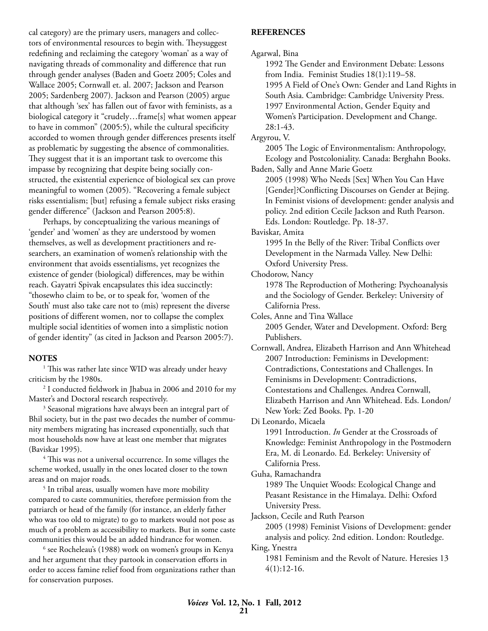cal category) are the primary users, managers and collectors of environmental resources to begin with. Theysuggest redefining and reclaiming the category 'woman' as a way of navigating threads of commonality and difference that run through gender analyses (Baden and Goetz 2005; Coles and Wallace 2005; Cornwall et. al. 2007; Jackson and Pearson 2005; Sardenberg 2007). Jackson and Pearson (2005) argue that although 'sex' has fallen out of favor with feminists, as a biological category it "crudely…frame[s] what women appear to have in common" (2005:5), while the cultural specificity accorded to women through gender differences presents itself as problematic by suggesting the absence of commonalities. They suggest that it is an important task to overcome this impasse by recognizing that despite being socially constructed, the existential experience of biological sex can prove meaningful to women (2005). "Recovering a female subject risks essentialism; [but] refusing a female subject risks erasing gender difference" (Jackson and Pearson 2005:8).

Perhaps, by conceptualizing the various meanings of 'gender' and 'women' as they are understood by women themselves, as well as development practitioners and researchers, an examination of women's relationship with the environment that avoids essentialisms, yet recognizes the existence of gender (biological) differences, may be within reach. Gayatri Spivak encapsulates this idea succinctly: "thosewho claim to be, or to speak for, 'women of the South' must also take care not to (mis) represent the diverse positions of different women, nor to collapse the complex multiple social identities of women into a simplistic notion of gender identity" (as cited in Jackson and Pearson 2005:7).

#### **NOTES**

<sup>1</sup> This was rather late since WID was already under heavy criticism by the 1980s.

2 I conducted fieldwork in Jhabua in 2006 and 2010 for my Master's and Doctoral research respectively.

<sup>3</sup> Seasonal migrations have always been an integral part of Bhil society, but in the past two decades the number of community members migrating has increased exponentially, such that most households now have at least one member that migrates (Baviskar 1995).

<sup>4</sup> This was not a universal occurrence. In some villages the scheme worked, usually in the ones located closer to the town areas and on major roads. 5

<sup>5</sup> In tribal areas, usually women have more mobility compared to caste communities, therefore permission from the patriarch or head of the family (for instance, an elderly father who was too old to migrate) to go to markets would not pose as much of a problem as accessibility to markets. But in some caste communities this would be an added hindrance for women.

<sup>6</sup> see Rocheleau's (1988) work on women's groups in Kenya and her argument that they partook in conservation efforts in order to access famine relief food from organizations rather than for conservation purposes.

#### **REFERENCES**

Agarwal, Bina

1992 The Gender and Environment Debate: Lessons from India. Feminist Studies 18(1):119–58. 1995 A Field of One's Own: Gender and Land Rights in South Asia. Cambridge: Cambridge University Press. 1997 Environmental Action, Gender Equity and Women's Participation. Development and Change. 28:1-43.

Argyrou, V.

2005 The Logic of Environmentalism: Anthropology, Ecology and Postcoloniality. Canada: Berghahn Books. Baden, Sally and Anne Marie Goetz

2005 (1998) Who Needs [Sex] When You Can Have [Gender]?Conflicting Discourses on Gender at Bejing. In Feminist visions of development: gender analysis and policy. 2nd edition Cecile Jackson and Ruth Pearson. Eds. London: Routledge. Pp. 18-37.

Baviskar, Amita

1995 In the Belly of the River: Tribal Conflicts over Development in the Narmada Valley. New Delhi: Oxford University Press.

Chodorow, Nancy

1978 The Reproduction of Mothering: Psychoanalysis and the Sociology of Gender. Berkeley: University of California Press.

Coles, Anne and Tina Wallace 2005 Gender, Water and Development. Oxford: Berg Publishers.

Cornwall, Andrea, Elizabeth Harrison and Ann Whitehead 2007 Introduction: Feminisms in Development: Contradictions, Contestations and Challenges. In Feminisms in Development: Contradictions, Contestations and Challenges. Andrea Cornwall, Elizabeth Harrison and Ann Whitehead. Eds. London/ New York: Zed Books. Pp. 1-20

Di Leonardo, Micaela

1991 Introduction. *In* Gender at the Crossroads of Knowledge: Feminist Anthropology in the Postmodern Era, M. di Leonardo. Ed. Berkeley: University of California Press.

Guha, Ramachandra

1989 The Unquiet Woods: Ecological Change and Peasant Resistance in the Himalaya. Delhi: Oxford University Press.

Jackson, Cecile and Ruth Pearson

2005 (1998) Feminist Visions of Development: gender analysis and policy. 2nd edition. London: Routledge.

King, Ynestra

1981 Feminism and the Revolt of Nature. Heresies 13 4(1):12-16.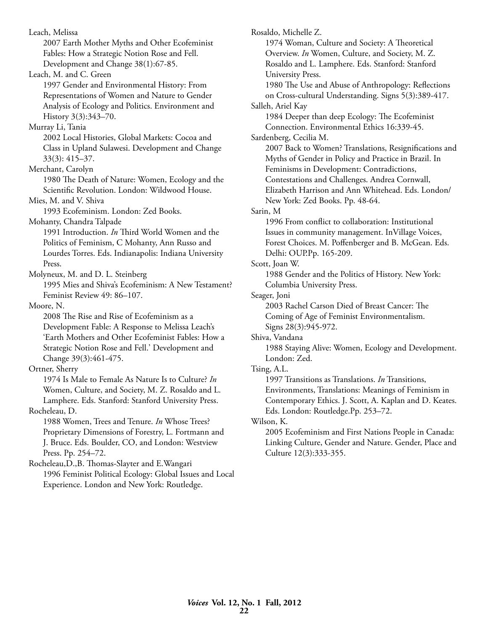Leach, Melissa 2007 Earth Mother Myths and Other Ecofeminist Fables: How a Strategic Notion Rose and Fell. Development and Change 38(1):67-85. Leach, M. and C. Green 1997 Gender and Environmental History: From Representations of Women and Nature to Gender Analysis of Ecology and Politics. Environment and History 3(3):343–70. Murray Li, Tania 2002 Local Histories, Global Markets: Cocoa and Class in Upland Sulawesi. Development and Change 33(3): 415–37. Merchant, Carolyn 1980 The Death of Nature: Women, Ecology and the Scientific Revolution. London: Wildwood House. Mies, M. and V. Shiva 1993 Ecofeminism. London: Zed Books. Mohanty, Chandra Talpade 1991 Introduction. *In* Third World Women and the Politics of Feminism, C Mohanty, Ann Russo and Lourdes Torres. Eds. Indianapolis: Indiana University Press. Molyneux, M. and D. L. Steinberg 1995 Mies and Shiva's Ecofeminism: A New Testament? Feminist Review 49: 86–107. Moore, N. 2008 The Rise and Rise of Ecofeminism as a Development Fable: A Response to Melissa Leach's 'Earth Mothers and Other Ecofeminist Fables: How a Strategic Notion Rose and Fell.' Development and Change 39(3):461-475. Ortner, Sherry 1974 Is Male to Female As Nature Is to Culture? *In* Women, Culture, and Society, M. Z. Rosaldo and L. Lamphere. Eds. Stanford: Stanford University Press. Rocheleau, D. 1988 Women, Trees and Tenure. *In* Whose Trees? Proprietary Dimensions of Forestry, L. Fortmann and J. Bruce. Eds. Boulder, CO, and London: Westview Press. Pp. 254–72. Rocheleau,D.,B. Thomas-Slayter and E.Wangari 1996 Feminist Political Ecology: Global Issues and Local Experience. London and New York: Routledge.

Rosaldo, Michelle Z. 1974 Woman, Culture and Society: A Theoretical Overview. *In* Women, Culture, and Society, M. Z. Rosaldo and L. Lamphere. Eds. Stanford: Stanford University Press. 1980 The Use and Abuse of Anthropology: Reflections on Cross-cultural Understanding. Signs 5(3):389-417. Salleh, Ariel Kay 1984 Deeper than deep Ecology: The Ecofeminist Connection. Environmental Ethics 16:339-45. Sardenberg, Cecilia M. 2007 Back to Women? Translations, Resignifications and Myths of Gender in Policy and Practice in Brazil. In Feminisms in Development: Contradictions, Contestations and Challenges. Andrea Cornwall, Elizabeth Harrison and Ann Whitehead. Eds. London/ New York: Zed Books. Pp. 48-64. Sarin, M 1996 From conflict to collaboration: Institutional Issues in community management. InVillage Voices, Forest Choices. M. Poffenberger and B. McGean. Eds. Delhi: OUP.Pp. 165-209. Scott, Joan W. 1988 Gender and the Politics of History. New York: Columbia University Press. Seager, Joni 2003 Rachel Carson Died of Breast Cancer: The Coming of Age of Feminist Environmentalism. Signs 28(3):945-972. Shiva, Vandana 1988 Staying Alive: Women, Ecology and Development. London: Zed. Tsing, A.L. 1997 Transitions as Translations. *In* Transitions, Environments, Translations: Meanings of Feminism in Contemporary Ethics. J. Scott, A. Kaplan and D. Keates. Eds. London: Routledge.Pp. 253–72. Wilson, K. 2005 Ecofeminism and First Nations People in Canada: Linking Culture, Gender and Nature. Gender, Place and

Culture 12(3):333-355.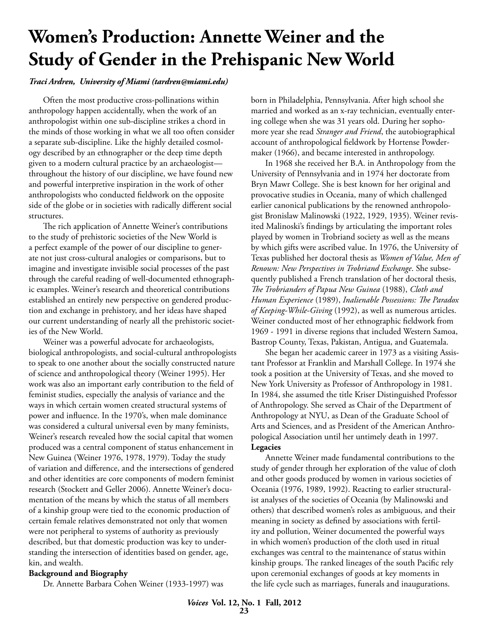# **Women's Production: Annette Weiner and the Study of Gender in the Prehispanic New World**

#### *Traci Ardren, University of Miami (tardren@miami.edu)*

Often the most productive cross-pollinations within anthropology happen accidentally, when the work of an anthropologist within one sub-discipline strikes a chord in the minds of those working in what we all too often consider a separate sub-discipline. Like the highly detailed cosmology described by an ethnographer or the deep time depth given to a modern cultural practice by an archaeologist throughout the history of our discipline, we have found new and powerful interpretive inspiration in the work of other anthropologists who conducted fieldwork on the opposite side of the globe or in societies with radically different social structures.

The rich application of Annette Weiner's contributions to the study of prehistoric societies of the New World is a perfect example of the power of our discipline to generate not just cross-cultural analogies or comparisons, but to imagine and investigate invisible social processes of the past through the careful reading of well-documented ethnographic examples. Weiner's research and theoretical contributions established an entirely new perspective on gendered production and exchange in prehistory, and her ideas have shaped our current understanding of nearly all the prehistoric societies of the New World.

Weiner was a powerful advocate for archaeologists, biological anthropologists, and social-cultural anthropologists to speak to one another about the socially constructed nature of science and anthropological theory (Weiner 1995). Her work was also an important early contribution to the field of feminist studies, especially the analysis of variance and the ways in which certain women created structural systems of power and influence. In the 1970's, when male dominance was considered a cultural universal even by many feminists, Weiner's research revealed how the social capital that women produced was a central component of status enhancement in New Guinea (Weiner 1976, 1978, 1979). Today the study of variation and difference, and the intersections of gendered and other identities are core components of modern feminist research (Stockett and Geller 2006). Annette Weiner's documentation of the means by which the status of all members of a kinship group were tied to the economic production of certain female relatives demonstrated not only that women were not peripheral to systems of authority as previously described, but that domestic production was key to understanding the intersection of identities based on gender, age, kin, and wealth.

#### **Background and Biography**

Dr. Annette Barbara Cohen Weiner (1933-1997) was

born in Philadelphia, Pennsylvania. After high school she married and worked as an x-ray technician, eventually entering college when she was 31 years old. During her sophomore year she read *Stranger and Friend*, the autobiographical account of anthropological fieldwork by Hortense Powdermaker (1966), and became interested in anthropology.

In 1968 she received her B.A. in Anthropology from the University of Pennsylvania and in 1974 her doctorate from Bryn Mawr College. She is best known for her original and provocative studies in Oceania, many of which challenged earlier canonical publications by the renowned anthropologist Bronislaw Malinowski (1922, 1929, 1935). Weiner revisited Malinoski's findings by articulating the important roles played by women in Trobriand society as well as the means by which gifts were ascribed value. In 1976, the University of Texas published her doctoral thesis as *Women of Value, Men of Renown: New Perspectives in Trobriand Exchange*. She subsequently published a French translation of her doctoral thesis, *The Trobrianders of Papua New Guinea* (1988), *Cloth and Human Experience* (1989), *Inalienable Possessions: The Paradox of Keeping-While-Giving* (1992), as well as numerous articles. Weiner conducted most of her ethnographic fieldwork from 1969 - 1991 in diverse regions that included Western Samoa, Bastrop County, Texas, Pakistan, Antigua, and Guatemala.

She began her academic career in 1973 as a visiting Assistant Professor at Franklin and Marshall College. In 1974 she took a position at the University of Texas, and she moved to New York University as Professor of Anthropology in 1981. In 1984, she assumed the title Kriser Distinguished Professor of Anthropology. She served as Chair of the Department of Anthropology at NYU, as Dean of the Graduate School of Arts and Sciences, and as President of the American Anthropological Association until her untimely death in 1997. **Legacies**

Annette Weiner made fundamental contributions to the study of gender through her exploration of the value of cloth and other goods produced by women in various societies of Oceania (1976, 1989, 1992). Reacting to earlier structuralist analyses of the societies of Oceania (by Malinowski and others) that described women's roles as ambiguous, and their meaning in society as defined by associations with fertility and pollution, Weiner documented the powerful ways in which women's production of the cloth used in ritual exchanges was central to the maintenance of status within kinship groups. The ranked lineages of the south Pacific rely upon ceremonial exchanges of goods at key moments in the life cycle such as marriages, funerals and inaugurations.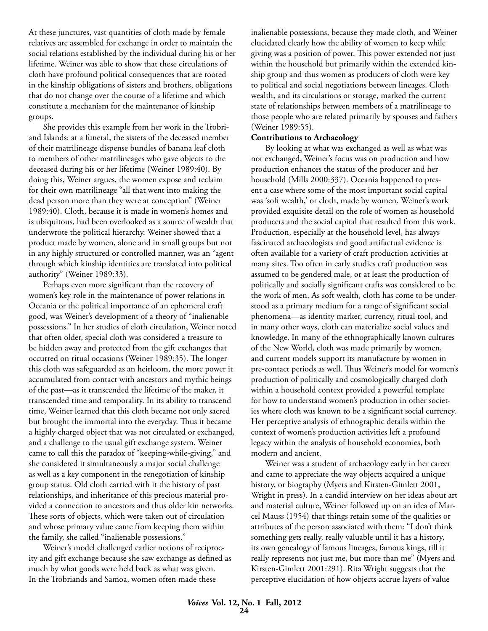At these junctures, vast quantities of cloth made by female relatives are assembled for exchange in order to maintain the social relations established by the individual during his or her lifetime. Weiner was able to show that these circulations of cloth have profound political consequences that are rooted in the kinship obligations of sisters and brothers, obligations that do not change over the course of a lifetime and which constitute a mechanism for the maintenance of kinship groups.

She provides this example from her work in the Trobriand Islands: at a funeral, the sisters of the deceased member of their matrilineage dispense bundles of banana leaf cloth to members of other matrilineages who gave objects to the deceased during his or her lifetime (Weiner 1989:40). By doing this, Weiner argues, the women expose and reclaim for their own matrilineage "all that went into making the dead person more than they were at conception" (Weiner 1989:40). Cloth, because it is made in women's homes and is ubiquitous, had been overlooked as a source of wealth that underwrote the political hierarchy. Weiner showed that a product made by women, alone and in small groups but not in any highly structured or controlled manner, was an "agent through which kinship identities are translated into political authority" (Weiner 1989:33).

Perhaps even more significant than the recovery of women's key role in the maintenance of power relations in Oceania or the political importance of an ephemeral craft good, was Weiner's development of a theory of "inalienable possessions." In her studies of cloth circulation, Weiner noted that often older, special cloth was considered a treasure to be hidden away and protected from the gift exchanges that occurred on ritual occasions (Weiner 1989:35). The longer this cloth was safeguarded as an heirloom, the more power it accumulated from contact with ancestors and mythic beings of the past—as it transcended the lifetime of the maker, it transcended time and temporality. In its ability to transcend time, Weiner learned that this cloth became not only sacred but brought the immortal into the everyday. Thus it became a highly charged object that was not circulated or exchanged, and a challenge to the usual gift exchange system. Weiner came to call this the paradox of "keeping-while-giving," and she considered it simultaneously a major social challenge as well as a key component in the renegotiation of kinship group status. Old cloth carried with it the history of past relationships, and inheritance of this precious material provided a connection to ancestors and thus older kin networks. These sorts of objects, which were taken out of circulation and whose primary value came from keeping them within the family, she called "inalienable possessions."

Weiner's model challenged earlier notions of reciprocity and gift exchange because she saw exchange as defined as much by what goods were held back as what was given. In the Trobriands and Samoa, women often made these

inalienable possessions, because they made cloth, and Weiner elucidated clearly how the ability of women to keep while giving was a position of power. This power extended not just within the household but primarily within the extended kinship group and thus women as producers of cloth were key to political and social negotiations between lineages. Cloth wealth, and its circulations or storage, marked the current state of relationships between members of a matrilineage to those people who are related primarily by spouses and fathers (Weiner 1989:55).

#### **Contributions to Archaeology**

By looking at what was exchanged as well as what was not exchanged, Weiner's focus was on production and how production enhances the status of the producer and her household (Mills 2000:337). Oceania happened to present a case where some of the most important social capital was 'soft wealth,' or cloth, made by women. Weiner's work provided exquisite detail on the role of women as household producers and the social capital that resulted from this work. Production, especially at the household level, has always fascinated archaeologists and good artifactual evidence is often available for a variety of craft production activities at many sites. Too often in early studies craft production was assumed to be gendered male, or at least the production of politically and socially significant crafts was considered to be the work of men. As soft wealth, cloth has come to be understood as a primary medium for a range of significant social phenomena—as identity marker, currency, ritual tool, and in many other ways, cloth can materialize social values and knowledge. In many of the ethnographically known cultures of the New World, cloth was made primarily by women, and current models support its manufacture by women in pre-contact periods as well. Thus Weiner's model for women's production of politically and cosmologically charged cloth within a household context provided a powerful template for how to understand women's production in other societies where cloth was known to be a significant social currency. Her perceptive analysis of ethnographic details within the context of women's production activities left a profound legacy within the analysis of household economies, both modern and ancient.

Weiner was a student of archaeology early in her career and came to appreciate the way objects acquired a unique history, or biography (Myers and Kirsten-Gimlett 2001, Wright in press). In a candid interview on her ideas about art and material culture, Weiner followed up on an idea of Marcel Mauss (1954) that things retain some of the qualities or attributes of the person associated with them: "I don't think something gets really, really valuable until it has a history, its own genealogy of famous lineages, famous kings, till it really represents not just me, but more than me" (Myers and Kirsten-Gimlett 2001:291). Rita Wright suggests that the perceptive elucidation of how objects accrue layers of value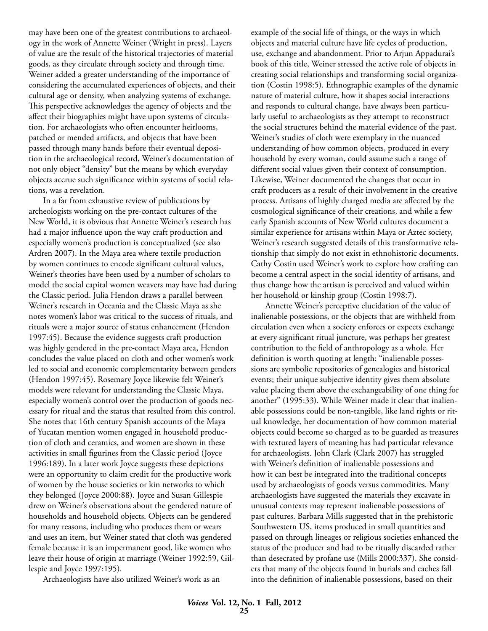may have been one of the greatest contributions to archaeology in the work of Annette Weiner (Wright in press). Layers of value are the result of the historical trajectories of material goods, as they circulate through society and through time. Weiner added a greater understanding of the importance of considering the accumulated experiences of objects, and their cultural age or density, when analyzing systems of exchange. This perspective acknowledges the agency of objects and the affect their biographies might have upon systems of circulation. For archaeologists who often encounter heirlooms, patched or mended artifacts, and objects that have been passed through many hands before their eventual deposition in the archaeological record, Weiner's documentation of not only object "density" but the means by which everyday objects accrue such significance within systems of social relations, was a revelation.

In a far from exhaustive review of publications by archeologists working on the pre-contact cultures of the New World, it is obvious that Annette Weiner's research has had a major influence upon the way craft production and especially women's production is conceptualized (see also Ardren 2007). In the Maya area where textile production by women continues to encode significant cultural values, Weiner's theories have been used by a number of scholars to model the social capital women weavers may have had during the Classic period. Julia Hendon draws a parallel between Weiner's research in Oceania and the Classic Maya as she notes women's labor was critical to the success of rituals, and rituals were a major source of status enhancement (Hendon 1997:45). Because the evidence suggests craft production was highly gendered in the pre-contact Maya area, Hendon concludes the value placed on cloth and other women's work led to social and economic complementarity between genders (Hendon 1997:45). Rosemary Joyce likewise felt Weiner's models were relevant for understanding the Classic Maya, especially women's control over the production of goods necessary for ritual and the status that resulted from this control. She notes that 16th century Spanish accounts of the Maya of Yucatan mention women engaged in household production of cloth and ceramics, and women are shown in these activities in small figurines from the Classic period (Joyce 1996:189). In a later work Joyce suggests these depictions were an opportunity to claim credit for the productive work of women by the house societies or kin networks to which they belonged (Joyce 2000:88). Joyce and Susan Gillespie drew on Weiner's observations about the gendered nature of households and household objects. Objects can be gendered for many reasons, including who produces them or wears and uses an item, but Weiner stated that cloth was gendered female because it is an impermanent good, like women who leave their house of origin at marriage (Weiner 1992:59, Gillespie and Joyce 1997:195).

Archaeologists have also utilized Weiner's work as an

example of the social life of things, or the ways in which objects and material culture have life cycles of production, use, exchange and abandonment. Prior to Arjun Appadurai's book of this title, Weiner stressed the active role of objects in creating social relationships and transforming social organization (Costin 1998:5). Ethnographic examples of the dynamic nature of material culture, how it shapes social interactions and responds to cultural change, have always been particularly useful to archaeologists as they attempt to reconstruct the social structures behind the material evidence of the past. Weiner's studies of cloth were exemplary in the nuanced understanding of how common objects, produced in every household by every woman, could assume such a range of different social values given their context of consumption. Likewise, Weiner documented the changes that occur in craft producers as a result of their involvement in the creative process. Artisans of highly charged media are affected by the cosmological significance of their creations, and while a few early Spanish accounts of New World cultures document a similar experience for artisans within Maya or Aztec society, Weiner's research suggested details of this transformative relationship that simply do not exist in ethnohistoric documents. Cathy Costin used Weiner's work to explore how crafting can become a central aspect in the social identity of artisans, and thus change how the artisan is perceived and valued within her household or kinship group (Costin 1998:7).

Annette Weiner's perceptive elucidation of the value of inalienable possessions, or the objects that are withheld from circulation even when a society enforces or expects exchange at every significant ritual juncture, was perhaps her greatest contribution to the field of anthropology as a whole. Her definition is worth quoting at length: "inalienable possessions are symbolic repositories of genealogies and historical events; their unique subjective identity gives them absolute value placing them above the exchangeability of one thing for another" (1995:33). While Weiner made it clear that inalienable possessions could be non-tangible, like land rights or ritual knowledge, her documentation of how common material objects could become so charged as to be guarded as treasures with textured layers of meaning has had particular relevance for archaeologists. John Clark (Clark 2007) has struggled with Weiner's definition of inalienable possessions and how it can best be integrated into the traditional concepts used by archaeologists of goods versus commodities. Many archaeologists have suggested the materials they excavate in unusual contexts may represent inalienable possessions of past cultures. Barbara Mills suggested that in the prehistoric Southwestern US, items produced in small quantities and passed on through lineages or religious societies enhanced the status of the producer and had to be ritually discarded rather than desecrated by profane use (Mills 2000:337). She considers that many of the objects found in burials and caches fall into the definition of inalienable possessions, based on their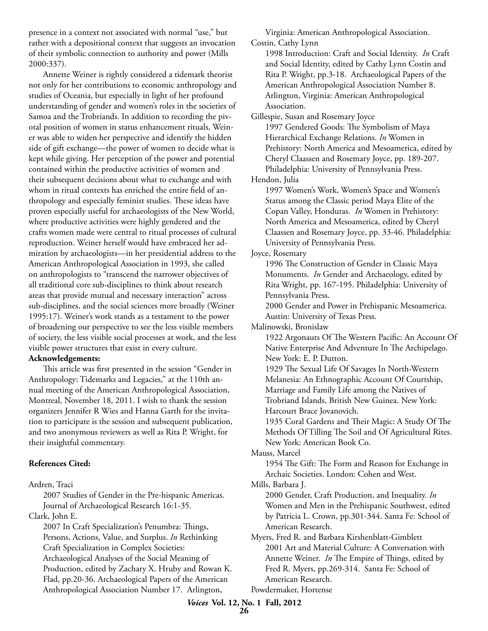presence in a context not associated with normal "use," but rather with a depositional context that suggests an invocation of their symbolic connection to authority and power (Mills 2000:337).

Annette Weiner is rightly considered a tidemark theorist not only for her contributions to economic anthropology and studies of Oceania, but especially in light of her profound understanding of gender and women's roles in the societies of Samoa and the Trobriands. In addition to recording the pivotal position of women in status enhancement rituals, Weiner was able to widen her perspective and identify the hidden side of gift exchange—the power of women to decide what is kept while giving. Her perception of the power and potential contained within the productive activities of women and their subsequent decisions about what to exchange and with whom in ritual contexts has enriched the entire field of anthropology and especially feminist studies. These ideas have proven especially useful for archaeologists of the New World, where productive activities were highly gendered and the crafts women made were central to ritual processes of cultural reproduction. Weiner herself would have embraced her admiration by archaeologists—in her presidential address to the American Anthropological Association in 1993, she called on anthropologists to "transcend the narrower objectives of all traditional core sub-disciplines to think about research areas that provide mutual and necessary interaction" across sub-disciplines, and the social sciences more broadly (Weiner 1995:17). Weiner's work stands as a testament to the power of broadening our perspective to see the less visible members of society, the less visible social processes at work, and the less visible power structures that exist in every culture.

#### **Acknowledgements:**

This article was first presented in the session "Gender in Anthropology: Tidemarks and Legacies," at the 110th annual meeting of the American Anthropological Association, Montreal, November 18, 2011. I wish to thank the session organizers Jennifer R Wies and Hanna Garth for the invitation to participate is the session and subsequent publication, and two anonymous reviewers as well as Rita P. Wright, for their insightful commentary.

#### **References Cited:**

Ardren, Traci

2007 Studies of Gender in the Pre-hispanic Americas. Journal of Archaeological Research 16:1-35.

Clark, John E.

2007 In Craft Specialization's Penumbra: Things, Persons, Actions, Value, and Surplus. *In* Rethinking Craft Specialization in Complex Societies: Archaeological Analyses of the Social Meaning of Production, edited by Zachary X. Hruby and Rowan K. Flad, pp.20-36. Archaeological Papers of the American Anthropological Association Number 17. Arlington,

Virginia: American Anthropological Association. Costin, Cathy Lynn

1998 Introduction: Craft and Social Identity. *In* Craft and Social Identity, edited by Cathy Lynn Costin and Rita P. Wright, pp.3-18. Archaeological Papers of the American Anthropological Association Number 8. Arlington, Virginia: American Anthropological Association.

Gillespie, Susan and Rosemary Joyce

1997 Gendered Goods: The Symbolism of Maya Hierarchical Exchange Relations. *In* Women in Prehistory: North America and Mesoamerica, edited by Cheryl Claassen and Rosemary Joyce, pp. 189-207. Philadelphia: University of Pennsylvania Press.

Hendon, Julia

1997 Women's Work, Women's Space and Women's Status among the Classic period Maya Elite of the Copan Valley, Honduras. *In* Women in Prehistory: North America and Mesoamerica, edited by Cheryl Claassen and Rosemary Joyce, pp. 33-46. Philadelphia: University of Pennsylvania Press.

Joyce, Rosemary

1996 The Construction of Gender in Classic Maya Monuments. *In* Gender and Archaeology, edited by Rita Wright, pp. 167-195. Philadelphia: University of Pennsylvania Press.

2000 Gender and Power in Prehispanic Mesoamerica. Austin: University of Texas Press.

Malinowski, Bronislaw

1922 Argonauts Of The Western Pacific: An Account Of Native Enterprise And Adventure In The Archipelago. New York: E. P. Dutton.

1929 The Sexual Life Of Savages In North-Western Melanesia: An Ethnographic Account Of Courtship, Marriage and Family Life among the Natives of Trobriand Islands, British New Guinea. New York: Harcourt Brace Jovanovich.

1935 Coral Gardens and Their Magic: A Study Of The Methods Of Tilling The Soil and Of Agricultural Rites. New York: American Book Co.

Mauss, Marcel

1954 The Gift: The Form and Reason for Exchange in Archaic Societies. London: Cohen and West.

Mills, Barbara J.

2000 Gender, Craft Production, and Inequality. *In* Women and Men in the Prehispanic Southwest, edited by Patricia L. Crown, pp.301-344. Santa Fe: School of American Research.

Myers, Fred R. and Barbara Kirshenblatt-Gimblett 2001 Art and Material Culture: A Conversation with Annette Weiner. *In* The Empire of Things, edited by Fred R. Myers, pp.269-314. Santa Fe: School of American Research. Powdermaker, Hortense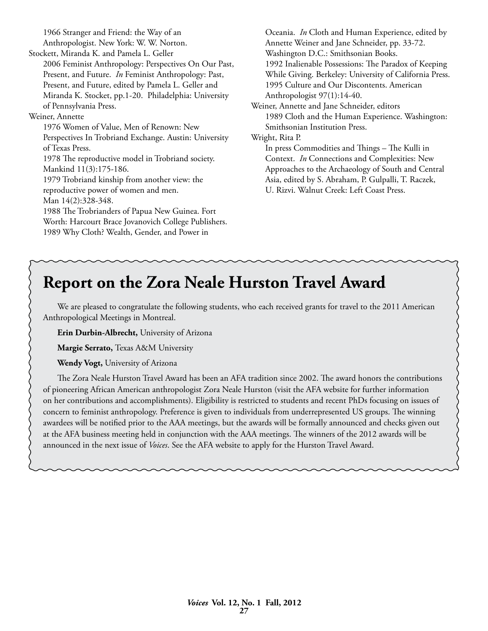1966 Stranger and Friend: the Way of an Anthropologist. New York: W. W. Norton.

Stockett, Miranda K. and Pamela L. Geller 2006 Feminist Anthropology: Perspectives On Our Past, Present, and Future. *In* Feminist Anthropology: Past, Present, and Future, edited by Pamela L. Geller and Miranda K. Stocket, pp.1-20. Philadelphia: University of Pennsylvania Press.

#### Weiner, Annette

1976 Women of Value, Men of Renown: New Perspectives In Trobriand Exchange. Austin: University of Texas Press. 1978 The reproductive model in Trobriand society. Mankind 11(3):175-186. 1979 Trobriand kinship from another view: the reproductive power of women and men. Man 14(2):328-348. 1988 The Trobrianders of Papua New Guinea. Fort Worth: Harcourt Brace Jovanovich College Publishers.

1989 Why Cloth? Wealth, Gender, and Power in

Oceania. *In* Cloth and Human Experience, edited by Annette Weiner and Jane Schneider, pp. 33-72. Washington D.C.: Smithsonian Books. 1992 Inalienable Possessions: The Paradox of Keeping While Giving. Berkeley: University of California Press. 1995 Culture and Our Discontents. American Anthropologist 97(1):14-40. Weiner, Annette and Jane Schneider, editors 1989 Cloth and the Human Experience. Washington: Smithsonian Institution Press. Wright, Rita P. In press Commodities and Things – The Kulli in Context. *In* Connections and Complexities: New Approaches to the Archaeology of South and Central Asia, edited by S. Abraham, P. Gulpalli, T. Raczek,

U. Rizvi. Walnut Creek: Left Coast Press.

## **Report on the Zora Neale Hurston Travel Award**

We are pleased to congratulate the following students, who each received grants for travel to the 2011 American Anthropological Meetings in Montreal.

**Erin Durbin-Albrecht,** University of Arizona

**Margie Serrato,** Texas A&M University

**Wendy Vogt,** University of Arizona

The Zora Neale Hurston Travel Award has been an AFA tradition since 2002. The award honors the contributions of pioneering African American anthropologist Zora Neale Hurston (visit the AFA website for further information on her contributions and accomplishments). Eligibility is restricted to students and recent PhDs focusing on issues of concern to feminist anthropology. Preference is given to individuals from underrepresented US groups. The winning awardees will be notified prior to the AAA meetings, but the awards will be formally announced and checks given out at the AFA business meeting held in conjunction with the AAA meetings. The winners of the 2012 awards will be announced in the next issue of *Voices*. See the AFA website to apply for the Hurston Travel Award.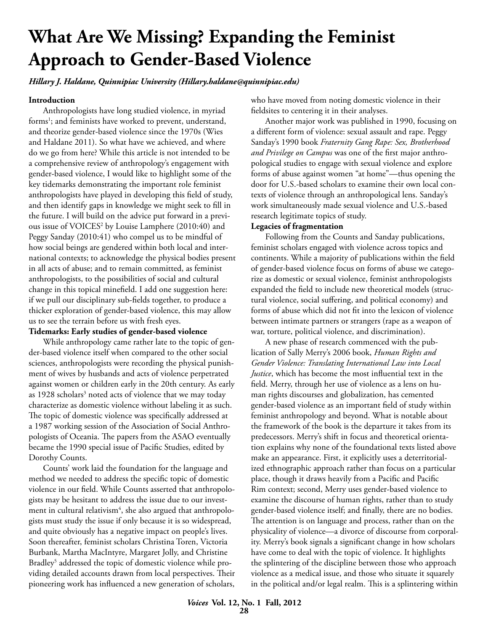# **What Are We Missing? Expanding the Feminist Approach to Gender-Based Violence**

*Hillary J. Haldane, Quinnipiac University (Hillary.haldane@quinnipiac.edu)*

#### **Introduction**

Anthropologists have long studied violence, in myriad forms<sup>1</sup>; and feminists have worked to prevent, understand, and theorize gender-based violence since the 1970s (Wies and Haldane 2011). So what have we achieved, and where do we go from here? While this article is not intended to be a comprehensive review of anthropology's engagement with gender-based violence, I would like to highlight some of the key tidemarks demonstrating the important role feminist anthropologists have played in developing this field of study, and then identify gaps in knowledge we might seek to fill in the future. I will build on the advice put forward in a previous issue of VOICES2 by Louise Lamphere (2010:40) and Peggy Sanday (2010:41) who compel us to be mindful of how social beings are gendered within both local and international contexts; to acknowledge the physical bodies present in all acts of abuse; and to remain committed, as feminist anthropologists, to the possibilities of social and cultural change in this topical minefield. I add one suggestion here: if we pull our disciplinary sub-fields together, to produce a thicker exploration of gender-based violence, this may allow us to see the terrain before us with fresh eyes.

#### **Tidemarks: Early studies of gender-based violence**

While anthropology came rather late to the topic of gender-based violence itself when compared to the other social sciences, anthropologists were recording the physical punishment of wives by husbands and acts of violence perpetrated against women or children early in the 20th century. As early as 1928 scholars<sup>3</sup> noted acts of violence that we may today characterize as domestic violence without labeling it as such. The topic of domestic violence was specifically addressed at a 1987 working session of the Association of Social Anthropologists of Oceania. The papers from the ASAO eventually became the 1990 special issue of Pacific Studies, edited by Dorothy Counts.

Counts' work laid the foundation for the language and method we needed to address the specific topic of domestic violence in our field. While Counts asserted that anthropologists may be hesitant to address the issue due to our investment in cultural relativism $4$ , she also argued that anthropologists must study the issue if only because it is so widespread, and quite obviously has a negative impact on people's lives. Soon thereafter, feminist scholars Christina Toren, Victoria Burbank, Martha MacIntyre, Margaret Jolly, and Christine Bradley<sup>5</sup> addressed the topic of domestic violence while providing detailed accounts drawn from local perspectives. Their pioneering work has influenced a new generation of scholars,

who have moved from noting domestic violence in their fieldsites to centering it in their analyses.

Another major work was published in 1990, focusing on a different form of violence: sexual assault and rape. Peggy Sanday's 1990 book *Fraternity Gang Rape: Sex, Brotherhood and Privilege on Campus* was one of the first major anthropological studies to engage with sexual violence and explore forms of abuse against women "at home"—thus opening the door for U.S.-based scholars to examine their own local contexts of violence through an anthropological lens. Sanday's work simultaneously made sexual violence and U.S.-based research legitimate topics of study.

#### **Legacies of fragmentation**

Following from the Counts and Sanday publications, feminist scholars engaged with violence across topics and continents. While a majority of publications within the field of gender-based violence focus on forms of abuse we categorize as domestic or sexual violence, feminist anthropologists expanded the field to include new theoretical models (structural violence, social suffering, and political economy) and forms of abuse which did not fit into the lexicon of violence between intimate partners or strangers (rape as a weapon of war, torture, political violence, and discrimination).

A new phase of research commenced with the publication of Sally Merry's 2006 book, *Human Rights and Gender Violence: Translating International Law into Local Justice*, which has become the most influential text in the field. Merry, through her use of violence as a lens on human rights discourses and globalization, has cemented gender-based violence as an important field of study within feminist anthropology and beyond. What is notable about the framework of the book is the departure it takes from its predecessors. Merry's shift in focus and theoretical orientation explains why none of the foundational texts listed above make an appearance. First, it explicitly uses a deterritorialized ethnographic approach rather than focus on a particular place, though it draws heavily from a Pacific and Pacific Rim context; second, Merry uses gender-based violence to examine the discourse of human rights, rather than to study gender-based violence itself; and finally, there are no bodies. The attention is on language and process, rather than on the physicality of violence—a divorce of discourse from corporality. Merry's book signals a significant change in how scholars have come to deal with the topic of violence. It highlights the splintering of the discipline between those who approach violence as a medical issue, and those who situate it squarely in the political and/or legal realm. This is a splintering within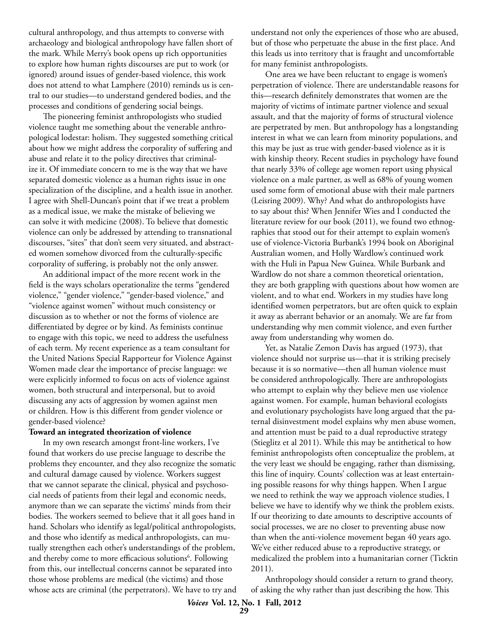cultural anthropology, and thus attempts to converse with archaeology and biological anthropology have fallen short of the mark. While Merry's book opens up rich opportunities to explore how human rights discourses are put to work (or ignored) around issues of gender-based violence, this work does not attend to what Lamphere (2010) reminds us is central to our studies—to understand gendered bodies, and the processes and conditions of gendering social beings.

The pioneering feminist anthropologists who studied violence taught me something about the venerable anthropological lodestar: holism. They suggested something critical about how we might address the corporality of suffering and abuse and relate it to the policy directives that criminalize it. Of immediate concern to me is the way that we have separated domestic violence as a human rights issue in one specialization of the discipline, and a health issue in another. I agree with Shell-Duncan's point that if we treat a problem as a medical issue, we make the mistake of believing we can solve it with medicine (2008). To believe that domestic violence can only be addressed by attending to transnational discourses, "sites" that don't seem very situated, and abstracted women somehow divorced from the culturally-specific corporality of suffering, is probably not the only answer.

An additional impact of the more recent work in the field is the ways scholars operationalize the terms "gendered violence," "gender violence," "gender-based violence," and "violence against women" without much consistency or discussion as to whether or not the forms of violence are differentiated by degree or by kind. As feminists continue to engage with this topic, we need to address the usefulness of each term. My recent experience as a team consultant for the United Nations Special Rapporteur for Violence Against Women made clear the importance of precise language: we were explicitly informed to focus on acts of violence against women, both structural and interpersonal, but to avoid discussing any acts of aggression by women against men or children. How is this different from gender violence or gender-based violence?

#### **Toward an integrated theorization of violence**

In my own research amongst front-line workers, I've found that workers do use precise language to describe the problems they encounter, and they also recognize the somatic and cultural damage caused by violence. Workers suggest that we cannot separate the clinical, physical and psychosocial needs of patients from their legal and economic needs, anymore than we can separate the victims' minds from their bodies. The workers seemed to believe that it all goes hand in hand. Scholars who identify as legal/political anthropologists, and those who identify as medical anthropologists, can mutually strengthen each other's understandings of the problem, and thereby come to more efficacious solutions<sup>6</sup>. Following from this, our intellectual concerns cannot be separated into those whose problems are medical (the victims) and those whose acts are criminal (the perpetrators). We have to try and understand not only the experiences of those who are abused, but of those who perpetuate the abuse in the first place. And this leads us into territory that is fraught and uncomfortable for many feminist anthropologists.

One area we have been reluctant to engage is women's perpetration of violence. There are understandable reasons for this—research definitely demonstrates that women are the majority of victims of intimate partner violence and sexual assault, and that the majority of forms of structural violence are perpetrated by men. But anthropology has a longstanding interest in what we can learn from minority populations, and this may be just as true with gender-based violence as it is with kinship theory. Recent studies in psychology have found that nearly 33% of college age women report using physical violence on a male partner, as well as 68% of young women used some form of emotional abuse with their male partners (Leisring 2009). Why? And what do anthropologists have to say about this? When Jennifer Wies and I conducted the literature review for our book (2011), we found two ethnographies that stood out for their attempt to explain women's use of violence-Victoria Burbank's 1994 book on Aboriginal Australian women, and Holly Wardlow's continued work with the Huli in Papua New Guinea. While Burbank and Wardlow do not share a common theoretical orientation, they are both grappling with questions about how women are violent, and to what end. Workers in my studies have long identified women perpetrators, but are often quick to explain it away as aberrant behavior or an anomaly. We are far from understanding why men commit violence, and even further away from understanding why women do.

Yet, as Natalie Zemon Davis has argued (1973), that violence should not surprise us—that it is striking precisely because it is so normative—then all human violence must be considered anthropologically. There are anthropologists who attempt to explain why they believe men use violence against women. For example, human behavioral ecologists and evolutionary psychologists have long argued that the paternal disinvestment model explains why men abuse women, and attention must be paid to a dual reproductive strategy (Stieglitz et al 2011). While this may be antithetical to how feminist anthropologists often conceptualize the problem, at the very least we should be engaging, rather than dismissing, this line of inquiry. Counts' collection was at least entertaining possible reasons for why things happen. When I argue we need to rethink the way we approach violence studies, I believe we have to identify why we think the problem exists. If our theorizing to date amounts to descriptive accounts of social processes, we are no closer to preventing abuse now than when the anti-violence movement began 40 years ago. We've either reduced abuse to a reproductive strategy, or medicalized the problem into a humanitarian corner (Ticktin 2011).

Anthropology should consider a return to grand theory, of asking the why rather than just describing the how. This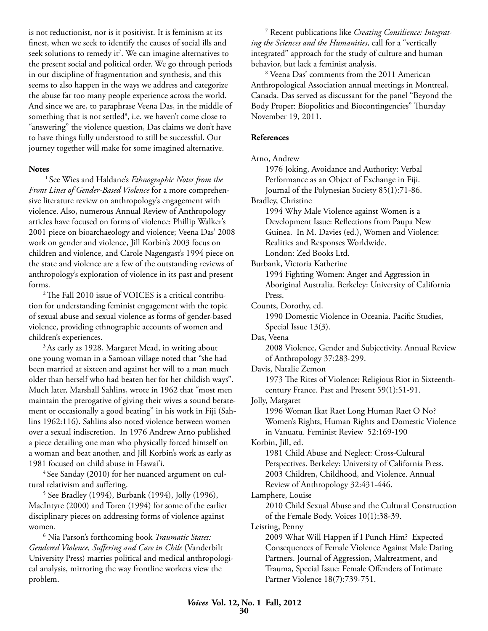is not reductionist, nor is it positivist. It is feminism at its finest, when we seek to identify the causes of social ills and seek solutions to remedy it<sup>7</sup>. We can imagine alternatives to the present social and political order. We go through periods in our discipline of fragmentation and synthesis, and this seems to also happen in the ways we address and categorize the abuse far too many people experience across the world. And since we are, to paraphrase Veena Das, in the middle of something that is not settled<sup>8</sup>, i.e. we haven't come close to "answering" the violence question, Das claims we don't have to have things fully understood to still be successful. Our journey together will make for some imagined alternative.

#### **Notes**

1 See Wies and Haldane's *Ethnographic Notes from the Front Lines of Gender-Based Violence* for a more comprehensive literature review on anthropology's engagement with violence. Also, numerous Annual Review of Anthropology articles have focused on forms of violence: Phillip Walker's 2001 piece on bioarchaeology and violence; Veena Das' 2008 work on gender and violence, Jill Korbin's 2003 focus on children and violence, and Carole Nagengast's 1994 piece on the state and violence are a few of the outstanding reviews of anthropology's exploration of violence in its past and present forms.

<sup>2</sup> The Fall 2010 issue of VOICES is a critical contribution for understanding feminist engagement with the topic of sexual abuse and sexual violence as forms of gender-based violence, providing ethnographic accounts of women and children's experiences.

<sup>3</sup> As early as 1928, Margaret Mead, in writing about one young woman in a Samoan village noted that "she had been married at sixteen and against her will to a man much older than herself who had beaten her for her childish ways". Much later, Marshall Sahlins, wrote in 1962 that "most men maintain the prerogative of giving their wives a sound beratement or occasionally a good beating" in his work in Fiji (Sahlins 1962:116). Sahlins also noted violence between women over a sexual indiscretion. In 1976 Andrew Arno published a piece detailing one man who physically forced himself on a woman and beat another, and Jill Korbin's work as early as 1981 focused on child abuse in Hawai'i.

 4 See Sanday (2010) for her nuanced argument on cultural relativism and suffering.

 5 See Bradley (1994), Burbank (1994), Jolly (1996), MacIntyre (2000) and Toren (1994) for some of the earlier disciplinary pieces on addressing forms of violence against women.

 6 Nia Parson's forthcoming book *Traumatic States: Gendered Violence, Suffering and Care in Chile* (Vanderbilt University Press) marries political and medical anthropological analysis, mirroring the way frontline workers view the problem.

 7 Recent publications like *Creating Consilience: Integrating the Sciences and the Humanities*, call for a "vertically integrated" approach for the study of culture and human behavior, but lack a feminist analysis.

 8 Veena Das' comments from the 2011 American Anthropological Association annual meetings in Montreal, Canada. Das served as discussant for the panel "Beyond the Body Proper: Biopolitics and Biocontingencies" Thursday November 19, 2011.

#### **References**

#### Arno, Andrew

1976 Joking, Avoidance and Authority: Verbal Performance as an Object of Exchange in Fiji. Journal of the Polynesian Society 85(1):71-86. Bradley, Christine 1994 Why Male Violence against Women is a Development Issue: Reflections from Paupa New Guinea. In M. Davies (ed.), Women and Violence: Realities and Responses Worldwide. London: Zed Books Ltd. Burbank, Victoria Katherine

1994 Fighting Women: Anger and Aggression in Aboriginal Australia. Berkeley: University of California Press.

Counts, Dorothy, ed.

1990 Domestic Violence in Oceania. Pacific Studies, Special Issue 13(3).

Das, Veena

2008 Violence, Gender and Subjectivity. Annual Review of Anthropology 37:283-299.

Davis, Natalie Zemon

1973 The Rites of Violence: Religious Riot in Sixteenthcentury France. Past and Present 59(1):51-91.

Jolly, Margaret

1996 Woman Ikat Raet Long Human Raet O No? Women's Rights, Human Rights and Domestic Violence in Vanuatu. Feminist Review 52:169-190

Korbin, Jill, ed.

1981 Child Abuse and Neglect: Cross-Cultural Perspectives. Berkeley: University of California Press. 2003 Children, Childhood, and Violence. Annual Review of Anthropology 32:431-446.

Lamphere, Louise

2010 Child Sexual Abuse and the Cultural Construction of the Female Body. Voices 10(1):38-39.

Leisring, Penny

2009 What Will Happen if I Punch Him? Expected Consequences of Female Violence Against Male Dating Partners. Journal of Aggression, Maltreatment, and Trauma, Special Issue: Female Offenders of Intimate Partner Violence 18(7):739-751.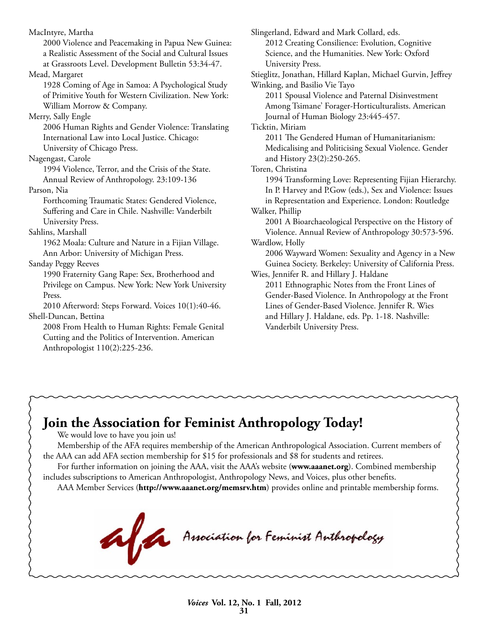MacIntyre, Martha 2000 Violence and Peacemaking in Papua New Guinea: a Realistic Assessment of the Social and Cultural Issues at Grassroots Level. Development Bulletin 53:34-47. Mead, Margaret 1928 Coming of Age in Samoa: A Psychological Study of Primitive Youth for Western Civilization. New York: William Morrow & Company. Merry, Sally Engle 2006 Human Rights and Gender Violence: Translating International Law into Local Justice. Chicago: University of Chicago Press. Nagengast, Carole 1994 Violence, Terror, and the Crisis of the State. Annual Review of Anthropology. 23:109-136 Parson, Nia Forthcoming Traumatic States: Gendered Violence, Suffering and Care in Chile. Nashville: Vanderbilt University Press. Sahlins, Marshall 1962 Moala: Culture and Nature in a Fijian Village. Ann Arbor: University of Michigan Press. Sanday Peggy Reeves 1990 Fraternity Gang Rape: Sex, Brotherhood and Privilege on Campus. New York: New York University Press. 2010 Afterword: Steps Forward. Voices 10(1):40-46. Shell-Duncan, Bettina 2008 From Health to Human Rights: Female Genital Cutting and the Politics of Intervention. American Anthropologist 110(2):225-236. Slingerland, Edward and Mark Collard, eds. 2012 Creating Consilience: Evolution, Cognitive Science, and the Humanities. New York: Oxford University Press. Stieglitz, Jonathan, Hillard Kaplan, Michael Gurvin, Jeffrey Winking, and Basilio Vie Tayo 2011 Spousal Violence and Paternal Disinvestment Among Tsimane' Forager-Horticulturalists. American Journal of Human Biology 23:445-457. Ticktin, Miriam 2011 The Gendered Human of Humanitarianism: Medicalising and Politicising Sexual Violence. Gender and History 23(2):250-265. Toren, Christina 1994 Transforming Love: Representing Fijian Hierarchy. In P. Harvey and P.Gow (eds.), Sex and Violence: Issues in Representation and Experience. London: Routledge Walker, Phillip 2001 A Bioarchaeological Perspective on the History of Violence. Annual Review of Anthropology 30:573-596. Wardlow, Holly 2006 Wayward Women: Sexuality and Agency in a New Guinea Society. Berkeley: University of California Press. Wies, Jennifer R. and Hillary J. Haldane 2011 Ethnographic Notes from the Front Lines of Gender-Based Violence. In Anthropology at the Front Lines of Gender-Based Violence. Jennifer R. Wies and Hillary J. Haldane, eds. Pp. 1-18. Nashville: Vanderbilt University Press.

## **Join the Association for Feminist Anthropology Today!**

We would love to have you join us!

Membership of the AFA requires membership of the American Anthropological Association. Current members of the AAA can add AFA section membership for \$15 for professionals and \$8 for students and retirees.

For further information on joining the AAA, visit the AAA's website (**www.aaanet.org**). Combined membership includes subscriptions to American Anthropologist, Anthropology News, and Voices, plus other benefits.

Anociation for Feminist Anthropology

AAA Member Services (**http://www.aaanet.org/memsrv.htm**) provides online and printable membership forms.

*Voices* **Vol. 12, No. 1 Fall, 2012 31**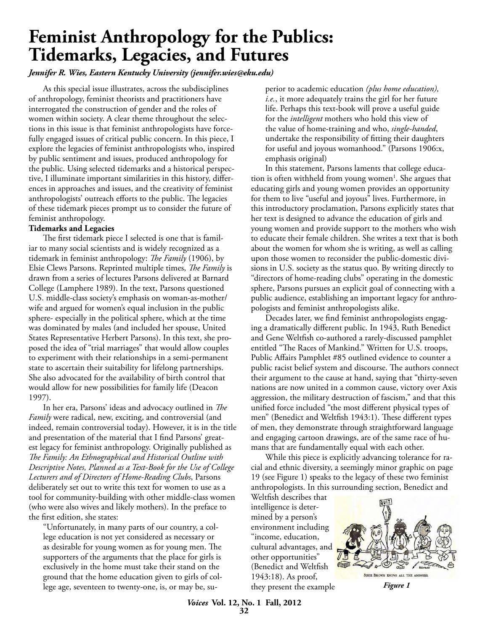## **Feminist Anthropology for the Publics: Tidemarks, Legacies, and Futures**

*Jennifer R. Wies, Eastern Kentucky University (jennifer.wies@eku.edu)*

As this special issue illustrates, across the subdisciplines of anthropology, feminist theorists and practitioners have interrogated the construction of gender and the roles of women within society. A clear theme throughout the selections in this issue is that feminist anthropologists have forcefully engaged issues of critical public concern. In this piece, I explore the legacies of feminist anthropologists who, inspired by public sentiment and issues, produced anthropology for the public. Using selected tidemarks and a historical perspective, I illuminate important similarities in this history, differences in approaches and issues, and the creativity of feminist anthropologists' outreach efforts to the public. The legacies of these tidemark pieces prompt us to consider the future of feminist anthropology.

### **Tidemarks and Legacies**

The first tidemark piece I selected is one that is familiar to many social scientists and is widely recognized as a tidemark in feminist anthropology: *The Family* (1906), by Elsie Clews Parsons. Reprinted multiple times, *The Family* is drawn from a series of lectures Parsons delivered at Barnard College (Lamphere 1989). In the text, Parsons questioned U.S. middle-class society's emphasis on woman-as-mother/ wife and argued for women's equal inclusion in the public sphere- especially in the political sphere, which at the time was dominated by males (and included her spouse, United States Representative Herbert Parsons). In this text, she proposed the idea of "trial marriages" that would allow couples to experiment with their relationships in a semi-permanent state to ascertain their suitability for lifelong partnerships. She also advocated for the availability of birth control that would allow for new possibilities for family life (Deacon 1997).

In her era, Parsons' ideas and advocacy outlined in *The Family* were radical, new, exciting, and controversial (and indeed, remain controversial today). However, it is in the title and presentation of the material that I find Parsons' greatest legacy for feminist anthropology. Originally published as *The Family: An Ethnographical and Historical Outline with Descriptive Notes, Planned as a Text-Book for the Use of College Lecturers and of Directors of Home-Reading Clubs*, Parsons deliberately set out to write this text for women to use as a tool for community-building with other middle-class women (who were also wives and likely mothers). In the preface to the first edition, she states:

"Unfortunately, in many parts of our country, a college education is not yet considered as necessary or as desirable for young women as for young men. The supporters of the arguments that the place for girls is exclusively in the home must take their stand on the ground that the home education given to girls of college age, seventeen to twenty-one, is, or may be, superior to academic education *(plus home education), i.e.*, it more adequately trains the girl for her future life. Perhaps this text-book will prove a useful guide for the *intelligent* mothers who hold this view of the value of home-training and who, *single-handed*, undertake the responsibility of fitting their daughters for useful and joyous womanhood." (Parsons 1906:x, emphasis original)

In this statement, Parsons laments that college education is often withheld from young women<sup>1</sup>. She argues that educating girls and young women provides an opportunity for them to live "useful and joyous" lives. Furthermore, in this introductory proclamation, Parsons explicitly states that her text is designed to advance the education of girls and young women and provide support to the mothers who wish to educate their female children. She writes a text that is both about the women for whom she is writing, as well as calling upon those women to reconsider the public-domestic divisions in U.S. society as the status quo. By writing directly to "directors of home-reading clubs" operating in the domestic sphere, Parsons pursues an explicit goal of connecting with a public audience, establishing an important legacy for anthropologists and feminist anthropologists alike.

Decades later, we find feminist anthropologists engaging a dramatically different public. In 1943, Ruth Benedict and Gene Weltfish co-authored a rarely-discussed pamphlet entitled "The Races of Mankind." Written for U.S. troops, Public Affairs Pamphlet #85 outlined evidence to counter a public racist belief system and discourse. The authors connect their argument to the cause at hand, saying that "thirty-seven nations are now united in a common cause, victory over Axis aggression, the military destruction of fascism," and that this unified force included "the most different physical types of men" (Benedict and Weltfish 1943:1). These different types of men, they demonstrate through straightforward language and engaging cartoon drawings, are of the same race of humans that are fundamentally equal with each other.

While this piece is explicitly advancing tolerance for racial and ethnic diversity, a seemingly minor graphic on page 19 (see Figure 1) speaks to the legacy of these two feminist anthropologists. In this surrounding section, Benedict and

Weltfish describes that intelligence is determined by a person's environment including "income, education, cultural advantages, and other opportunities" (Benedict and Weltfish 1943:18). As proof, they present the example



*Figure 1*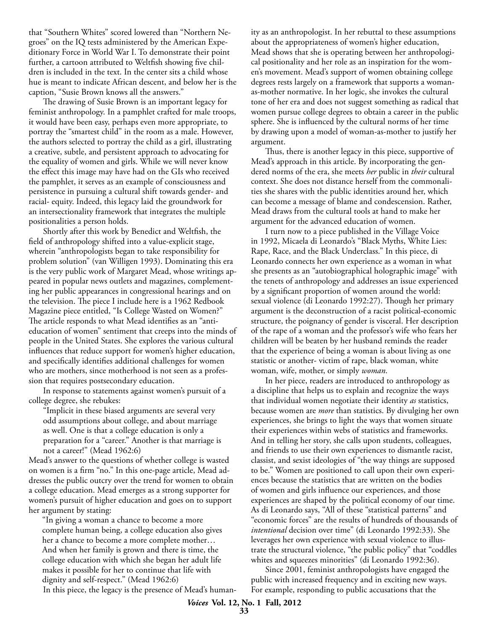that "Southern Whites" scored lowered than "Northern Negroes" on the IQ tests administered by the American Expeditionary Force in World War I. To demonstrate their point further, a cartoon attributed to Weltfish showing five children is included in the text. In the center sits a child whose hue is meant to indicate African descent, and below her is the caption, "Susie Brown knows all the answers."

The drawing of Susie Brown is an important legacy for feminist anthropology. In a pamphlet crafted for male troops, it would have been easy, perhaps even more appropriate, to portray the "smartest child" in the room as a male. However, the authors selected to portray the child as a girl, illustrating a creative, subtle, and persistent approach to advocating for the equality of women and girls. While we will never know the effect this image may have had on the GIs who received the pamphlet, it serves as an example of consciousness and persistence in pursuing a cultural shift towards gender- and racial- equity. Indeed, this legacy laid the groundwork for an intersectionality framework that integrates the multiple positionalities a person holds.

Shortly after this work by Benedict and Weltfish, the field of anthropology shifted into a value-explicit stage, wherein "anthropologists began to take responsibility for problem solution" (van Willigen 1993). Dominating this era is the very public work of Margaret Mead, whose writings appeared in popular news outlets and magazines, complementing her public appearances in congressional hearings and on the television. The piece I include here is a 1962 Redbook Magazine piece entitled, "Is College Wasted on Women?" The article responds to what Mead identifies as an "antieducation of women" sentiment that creeps into the minds of people in the United States. She explores the various cultural influences that reduce support for women's higher education, and specifically identifies additional challenges for women who are mothers, since motherhood is not seen as a profession that requires postsecondary education.

In response to statements against women's pursuit of a college degree, she rebukes:

"Implicit in these biased arguments are several very odd assumptions about college, and about marriage as well. One is that a college education is only a preparation for a "career." Another is that marriage is not a career!" (Mead 1962:6)

Mead's answer to the questions of whether college is wasted on women is a firm "no." In this one-page article, Mead addresses the public outcry over the trend for women to obtain a college education. Mead emerges as a strong supporter for women's pursuit of higher education and goes on to support her argument by stating:

"In giving a woman a chance to become a more complete human being, a college education also gives her a chance to become a more complete mother… And when her family is grown and there is time, the college education with which she began her adult life makes it possible for her to continue that life with dignity and self-respect." (Mead 1962:6) In this piece, the legacy is the presence of Mead's humanity as an anthropologist. In her rebuttal to these assumptions about the appropriateness of women's higher education, Mead shows that she is operating between her anthropological positionality and her role as an inspiration for the women's movement. Mead's support of women obtaining college degrees rests largely on a framework that supports a womanas-mother normative. In her logic, she invokes the cultural tone of her era and does not suggest something as radical that women pursue college degrees to obtain a career in the public sphere. She is influenced by the cultural norms of her time by drawing upon a model of woman-as-mother to justify her argument.

Thus, there is another legacy in this piece, supportive of Mead's approach in this article. By incorporating the gendered norms of the era, she meets *her* public in *their* cultural context. She does not distance herself from the commonalities she shares with the public identities around her, which can become a message of blame and condescension. Rather, Mead draws from the cultural tools at hand to make her argument for the advanced education of women.

I turn now to a piece published in the Village Voice in 1992, Micaela di Leonardo's "Black Myths, White Lies: Rape, Race, and the Black Underclass." In this piece, di Leonardo connects her own experience as a woman in what she presents as an "autobiographical holographic image" with the tenets of anthropology and addresses an issue experienced by a significant proportion of women around the world: sexual violence (di Leonardo 1992:27). Though her primary argument is the deconstruction of a racist political-economic structure, the poignancy of gender is visceral. Her description of the rape of a woman and the professor's wife who fears her children will be beaten by her husband reminds the reader that the experience of being a woman is about living as one statistic or another- victim of rape, black woman, white woman, wife, mother, or simply *woman*.

In her piece, readers are introduced to anthropology as a discipline that helps us to explain and recognize the ways that individual women negotiate their identity *as* statistics, because women are *more* than statistics. By divulging her own experiences, she brings to light the ways that women situate their experiences within webs of statistics and frameworks. And in telling her story, she calls upon students, colleagues, and friends to use their own experiences to dismantle racist, classist, and sexist ideologies of "the way things are supposed to be." Women are positioned to call upon their own experiences because the statistics that are written on the bodies of women and girls influence our experiences, and those experiences are shaped by the political economy of our time. As di Leonardo says, "All of these "statistical patterns" and "economic forces" are the results of hundreds of thousands of *intentional* decision over time" (di Leonardo 1992:33). She leverages her own experience with sexual violence to illustrate the structural violence, "the public policy" that "coddles whites and squeezes minorities" (di Leonardo 1992:36).

Since 2001, feminist anthropologists have engaged the public with increased frequency and in exciting new ways. For example, responding to public accusations that the

*Voices* **Vol. 12, No. 1 Fall, 2012**